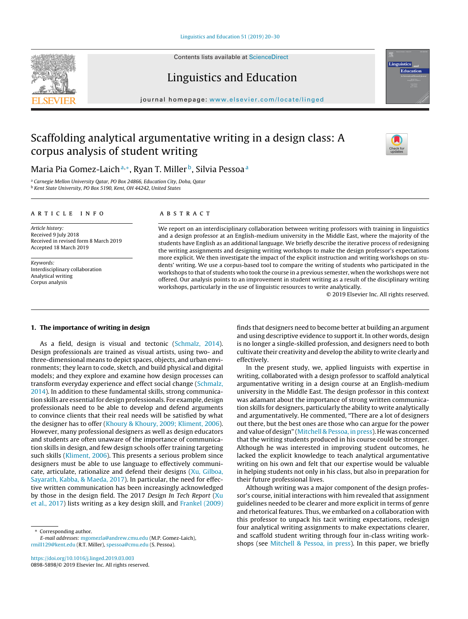

Contents lists available at [ScienceDirect](http://www.sciencedirect.com/science/journal/08985898)

# Linguistics and Education

iournal homepage: [www.elsevier.com/locate/linged](http://www.elsevier.com/locate/linged)

# Scaffolding analytical argumentative writing in a design class: A corpus analysis of student writing



Maria Pia Gomez-Laich<sup>a,∗</sup>, Ryan T. Miller<sup>b</sup>, Silvia Pessoa<sup>a</sup>

<sup>a</sup> Carnegie Mellon University Qatar, PO Box 24866, Education City, Doha, Qatar

<sup>b</sup> Kent State University, PO Box 5190, Kent, OH 44242, United States

# a r t i c l e i n f o

Article history: Received 9 July 2018 Received in revised form 8 March 2019 Accepted 18 March 2019

Keywords: Interdisciplinary collaboration Analytical writing Corpus analysis

# A B S T R A C T

We report on an interdisciplinary collaboration between writing professors with training in linguistics and a design professor at an English-medium university in the Middle East, where the majority of the students have English as an additional language. We briefly describe the iterative process of redesigning the writing assignments and designing writing workshops to make the design professor's expectations more explicit. We then investigate the impact of the explicit instruction and writing workshops on students' writing. We use a corpus-based tool to compare the writing of students who participated in the workshops to that of students who took the course in a previous semester, when the workshops were not offered. Our analysis points to an improvement in student writing as a result of the disciplinary writing workshops, particularly in the use of linguistic resources to write analytically.

© 2019 Elsevier Inc. All rights reserved.

# **1. The importance of writing in design**

As a field, design is visual and tectonic [\(Schmalz,](#page-10-0) [2014\).](#page-10-0) Design professionals are trained as visual artists, using two- and three-dimensional means to depict spaces, objects, and urban environments; they learn to code, sketch, and build physical and digital models; and they explore and examine how design processes can transform everyday experience and effect social change ([Schmalz,](#page-10-0) [2014\).](#page-10-0) In addition to these fundamental skills, strong communication skills are essential for design professionals. For example, design professionals need to be able to develop and defend arguments to convince clients that their real needs will be satisfied by what the designer has to offer [\(Khoury](#page-9-0) [&](#page-9-0) [Khoury,](#page-9-0) [2009;](#page-9-0) [Kliment,](#page-9-0) [2006\).](#page-9-0) However, many professional designers as well as design educators and students are often unaware of the importance of communication skills in design, and few design schools offer training targeting such skills [\(Kliment,](#page-9-0) [2006\).](#page-9-0) This presents a serious problem since designers must be able to use language to effectively communicate, articulate, rationalize and defend their designs [\(Xu,](#page-10-0) [Gilboa,](#page-10-0) [Sayarath,](#page-10-0) [Kabba,](#page-10-0) [&](#page-10-0) [Maeda,](#page-10-0) [2017\).](#page-10-0) In particular, the need for effective written communication has been increasingly acknowledged by those in the design field. The 2017 Design In Tech Report ([Xu](#page-10-0) et [al.,](#page-10-0) [2017\)](#page-10-0) lists writing as a key design skill, and [Frankel](#page-9-0) [\(2009\)](#page-9-0)

∗ Corresponding author.

E-mail addresses: [mgomezla@andrew.cmu.edu](mailto:mgomezla@andrew.cmu.edu) (M.P. Gomez-Laich), [rmill129@kent.edu](mailto:rmill129@kent.edu) (R.T. Miller), [spessoa@cmu.edu](mailto:spessoa@cmu.edu) (S. Pessoa).

finds that designers need to become better at building an argument and using descriptive evidence to support it. In other words, design is no longer a single-skilled profession, and designers need to both cultivate their creativity and develop the ability to write clearly and effectively.

In the present study, we, applied linguists with expertise in writing, collaborated with a design professor to scaffold analytical argumentative writing in a design course at an English-medium university in the Middle East. The design professor in this context was adamant about the importance of strong written communication skills for designers, particularly the ability to write analytically and argumentatively. He commented, "There are a lot of designers out there, but the best ones are those who can argue for the power and value of design" ([Mitchell](#page-10-0) [&](#page-10-0) [Pessoa,](#page-10-0) [in](#page-10-0) [press\).](#page-10-0) He was concerned that the writing students produced in his course could be stronger. Although he was interested in improving student outcomes, he lacked the explicit knowledge to teach analytical argumentative writing on his own and felt that our expertise would be valuable in helping students not only in his class, but also in preparation for their future professional lives.

Although writing was a major component of the design professor's course, initial interactions with him revealed that assignment guidelines needed to be clearer and more explicit in terms of genre and rhetorical features. Thus, we embarked on a collaboration with this professor to unpack his tacit writing expectations, redesign four analytical writing assignments to make expectations clearer, and scaffold student writing through four in-class writing workshops (see [Mitchell](#page-10-0) [&](#page-10-0) [Pessoa,](#page-10-0) [in](#page-10-0) [press\).](#page-10-0) In this paper, we briefly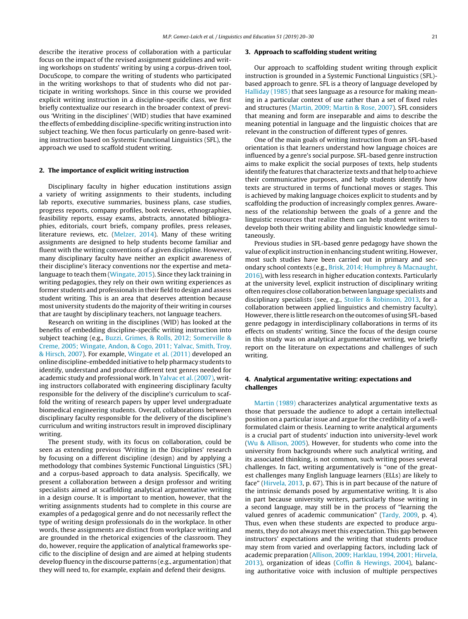describe the iterative process of collaboration with a particular focus on the impact of the revised assignment guidelines and writing workshops on students' writing by using a corpus-driven tool, DocuScope, to compare the writing of students who participated in the writing workshops to that of students who did not participate in writing workshops. Since in this course we provided explicit writing instruction in a discipline-specific class, we first briefly contextualize our research in the broader context of previous 'Writing in the disciplines' (WID) studies that have examined the effects of embedding discipline-specific writing instruction into subject teaching. We then focus particularly on genre-based writing instruction based on Systemic Functional Linguistics (SFL), the approach we used to scaffold student writing.

## **2. The importance of explicit writing instruction**

Disciplinary faculty in higher education institutions assign a variety of writing assignments to their students, including lab reports, executive summaries, business plans, case studies, progress reports, company profiles, book reviews, ethnographies, feasibility reports, essay exams, abstracts, annotated bibliographies, editorials, court briefs, company profiles, press releases, literature reviews, etc. ([Melzer,](#page-10-0) [2014\).](#page-10-0) Many of these writing assignments are designed to help students become familiar and fluent with the writing conventions of a given discipline. However, many disciplinary faculty have neither an explicit awareness of their discipline's literacy conventions nor the expertise and metalanguage to teach them ([Wingate,](#page-10-0) [2015\).](#page-10-0) Since they lack training in writing pedagogies, they rely on their own writing experiences as former students and professionals in their field to design and assess student writing. This is an area that deserves attention because most university students do the majority of their writing in courses that are taught by disciplinary teachers, not language teachers.

Research on writing in the disciplines (WID) has looked at the benefits of embedding discipline-specific writing instruction into subject teaching (e.g., [Buzzi,](#page-9-0) [Grimes,](#page-9-0) [&](#page-9-0) [Rolls,](#page-9-0) [2012;](#page-9-0) [Somerville](#page-9-0) [&](#page-9-0) [Creme,](#page-9-0) [2005;](#page-9-0) [Wingate,](#page-9-0) [Andon,](#page-9-0) [&](#page-9-0) [Cogo,](#page-9-0) [2011;](#page-9-0) [Yalvac,](#page-9-0) [Smith,](#page-9-0) [Troy,](#page-9-0) [&](#page-9-0) [Hirsch,](#page-9-0) [2007\).](#page-9-0) For example, [Wingate](#page-10-0) et [al.](#page-10-0) [\(2011\)](#page-10-0) developed an online discipline-embedded initiative to help pharmacy students to identify, understand and produce different text genres needed for academic study and professional work. In [Yalvac](#page-10-0) et [al.](#page-10-0) [\(2007\),](#page-10-0) writing instructors collaborated with engineering disciplinary faculty responsible for the delivery of the discipline's curriculum to scaffold the writing of research papers by upper level undergraduate biomedical engineering students. Overall, collaborations between disciplinary faculty responsible for the delivery of the discipline's curriculum and writing instructors result in improved disciplinary writing.

The present study, with its focus on collaboration, could be seen as extending previous 'Writing in the Disciplines' research by focusing on a different discipline (design) and by applying a methodology that combines Systemic Functional Linguistics (SFL) and a corpus-based approach to data analysis. Specifically, we present a collaboration between a design professor and writing specialists aimed at scaffolding analytical argumentative writing in a design course. It is important to mention, however, that the writing assignments students had to complete in this course are examples of a pedagogical genre and do not necessarily reflect the type of writing design professionals do in the workplace. In other words, these assignments are distinct from workplace writing and are grounded in the rhetorical exigencies of the classroom. They do, however, require the application of analytical frameworks specific to the discipline of design and are aimed at helping students develop fluency in the discourse patterns (e.g., argumentation) that they will need to, for example, explain and defend their designs.

#### **3. Approach to scaffolding student writing**

Our approach to scaffolding student writing through explicit instruction is grounded in a Systemic Functional Linguistics (SFL) based approach to genre. SFL is a theory of language developed by [Halliday](#page-9-0) [\(1985\)](#page-9-0) that sees language as a resource for making meaning in a particular context of use rather than a set of fixed rules and structures ([Martin,](#page-10-0) [2009;](#page-10-0) [Martin](#page-10-0) [&](#page-10-0) [Rose,](#page-10-0) [2007\).](#page-10-0) SFL considers that meaning and form are inseparable and aims to describe the meaning potential in language and the linguistic choices that are relevant in the construction of different types of genres.

One of the main goals of writing instruction from an SFL-based orientation is that learners understand how language choices are influenced by a genre's social purpose. SFL-based genre instruction aims to make explicit the social purposes of texts, help students identify the features that characterize texts and that help to achieve their communicative purposes, and help students identify how texts are structured in terms of functional moves or stages. This is achieved by making language choices explicit to students and by scaffolding the production of increasingly complex genres. Awareness of the relationship between the goals of a genre and the linguistic resources that realize them can help student writers to develop both their writing ability and linguistic knowledge simultaneously.

Previous studies in SFL-based genre pedagogy have shown the value of explicit instruction in enhancing student writing. However, most such studies have been carried out in primary and secondary school contexts (e.g., [Brisk,](#page-9-0) [2014;](#page-9-0) [Humphrey](#page-9-0) [&](#page-9-0) [Macnaught,](#page-9-0) [2016\),](#page-9-0) with less research in higher education contexts. Particularly at the university level, explicit instruction of disciplinary writing often requires close collaboration between language specialists and disciplinary specialists (see, e.g., [Stoller](#page-10-0) [&](#page-10-0) [Robinson,](#page-10-0) [2013,](#page-10-0) for a collaboration between applied linguistics and chemistry faculty). However, there is little research on the outcomes of using SFL-based genre pedagogy in interdisciplinary collaborations in terms of its effects on students' writing. Since the focus of the design course in this study was on analytical argumentative writing, we briefly report on the literature on expectations and challenges of such writing.

# **4. Analytical argumentative writing: expectations and challenges**

[Martin](#page-9-0) [\(1989\)](#page-9-0) characterizes analytical argumentative texts as those that persuade the audience to adopt a certain intellectual position on a particular issue and argue for the credibility of a wellformulated claim or thesis. Learning to write analytical arguments is a crucial part of students' induction into university-level work [\(Wu](#page-10-0) [&](#page-10-0) [Allison,](#page-10-0) [2005\).](#page-10-0) However, for students who come into the university from backgrounds where such analytical writing, and its associated thinking, is not common, such writing poses several challenges. In fact, writing argumentatively is "one of the greatest challenges many English language learners (ELLs) are likely to face" [\(Hirvela,](#page-9-0) [2013,](#page-9-0) p. 67). This is in part because of the nature of the intrinsic demands posed by argumentative writing. It is also in part because university writers, particularly those writing in a second language, may still be in the process of "learning the valued genres of academic communication" [\(Tardy,](#page-10-0) [2009,](#page-10-0) p. 4). Thus, even when these students are expected to produce arguments, they do not always meet this expectation. This gap between instructors' expectations and the writing that students produce may stem from varied and overlapping factors, including lack of academic preparation ([Allison,](#page-9-0) [2009;](#page-9-0) [Harklau,](#page-9-0) [1994,](#page-9-0) [2001;](#page-9-0) [Hirvela,](#page-9-0) [2013\),](#page-9-0) organization of ideas [\(Coffin](#page-9-0) [&](#page-9-0) [Hewings,](#page-9-0) [2004\),](#page-9-0) balancing authoritative voice with inclusion of multiple perspectives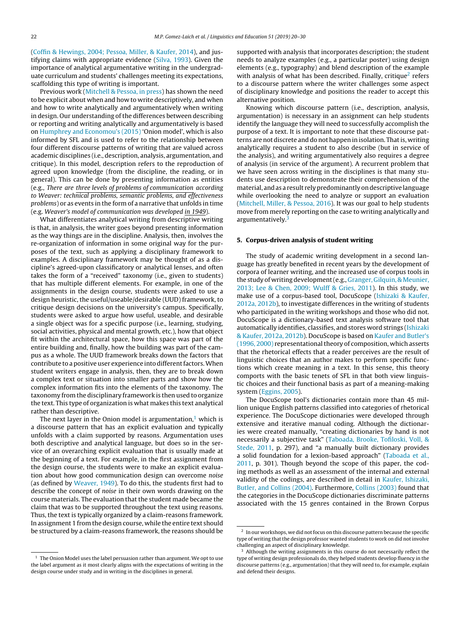([Coffin](#page-9-0) [&](#page-9-0) [Hewings,](#page-9-0) [2004;](#page-9-0) [Pessoa,](#page-9-0) [Miller,](#page-9-0) [&](#page-9-0) [Kaufer,](#page-9-0) [2014\),](#page-9-0) and justifying claims with appropriate evidence ([Silva,](#page-10-0) [1993\).](#page-10-0) Given the importance of analytical argumentative writing in the undergraduate curriculum and students' challenges meeting its expectations, scaffolding this type of writing is important.

Previous work [\(Mitchell](#page-10-0) [&](#page-10-0) [Pessoa,](#page-10-0) [in](#page-10-0) [press\)](#page-10-0) has shown the need to be explicit about when and how to write descriptively, and when and how to write analytically and argumentatively when writing in design. Our understanding of the differences between describing or reporting and writing analytically and argumentatively is based on [Humphrey](#page-9-0) [and](#page-9-0) [Economou's](#page-9-0) [\(2015\)](#page-9-0) 'Onion model', which is also informed by SFL and is used to refer to the relationship between four different discourse patterns of writing that are valued across academic disciplines (i.e., description, analysis, argumentation, and critique). In this model, description refers to the reproduction of agreed upon knowledge (from the discipline, the reading, or in general). This can be done by presenting information as entities (e.g., There are three levels of problems of communication according to Weaver: technical problems, semantic problems, and effectiveness problems) or as events in the form of a narrative that unfolds in time (e.g. Weaver's model of communication was developed in 1949).

What differentiates analytical writing from descriptive writing is that, in analysis, the writer goes beyond presenting information as the way things are in the discipline. Analysis, then, involves the re-organization of information in some original way for the purposes of the text, such as applying a disciplinary framework to examples. A disciplinary framework may be thought of as a discipline's agreed-upon classificatory or analytical lenses, and often takes the form of a "received" taxonomy (i.e., given to students) that has multiple different elements. For example, in one of the assignments in the design course, students were asked to use a design heuristic, the useful/useable/desirable (UUD) framework, to critique design decisions on the university's campus. Specifically, students were asked to argue how useful, useable, and desirable a single object was for a specific purpose (i.e., learning, studying, social activities, physical and mental growth, etc.), how that object fit within the architectural space, how this space was part of the entire building and, finally, how the building was part of the campus as a whole. The UUD framework breaks down the factors that contribute to a positive user experience into different factors. When student writers engage in analysis, then, they are to break down a complex text or situation into smaller parts and show how the complex information fits into the elements of the taxonomy. The taxonomy from the disciplinary framework is then used to organize the text. This type of organization is what makes this text analytical rather than descriptive.

The next layer in the Onion model is argumentation, $1$  which is a discourse pattern that has an explicit evaluation and typically unfolds with a claim supported by reasons. Argumentation uses both descriptive and analytical language, but does so in the service of an overarching explicit evaluation that is usually made at the beginning of a text. For example, in the first assignment from the design course, the students were to make an explicit evaluation about how good communication design can overcome noise (as defined by [Weaver,](#page-10-0) [1949\).](#page-10-0) To do this, the students first had to describe the concept of noise in their own words drawing on the course materials. The evaluation that the student made became the claim that was to be supported throughout the text using reasons. Thus, the text is typically organized by a claim-reasons framework. In assignment 1 from the design course, while the entire text should be structured by a claim-reasons framework, the reasons should be

supported with analysis that incorporates description; the student needs to analyze examples (e.g., a particular poster) using design elements (e.g., typography) and blend description of the example with analysis of what has been described. Finally, critique $2$  refers to a discourse pattern where the writer challenges some aspect of disciplinary knowledge and positions the reader to accept this alternative position.

Knowing which discourse pattern (i.e., description, analysis, argumentation) is necessary in an assignment can help students identify the language they will need to successfully accomplish the purpose of a text. It is important to note that these discourse patterns are not discrete and do not happen in isolation. That is, writing analytically requires a student to also describe (but in service of the analysis), and writing argumentatively also requires a degree of analysis (in service of the argument). A recurrent problem that we have seen across writing in the disciplines is that many students use description to demonstrate their comprehension of the material, and as a result rely predominantly on descriptive language while overlooking the need to analyze or support an evaluation [\(Mitchell,](#page-10-0) [Miller,](#page-10-0) [&](#page-10-0) [Pessoa,](#page-10-0) [2016\).](#page-10-0) It was our goal to help students move from merely reporting on the case to writing analytically and argumentatively.<sup>3</sup>

#### **5. Corpus-driven analysis of student writing**

The study of academic writing development in a second language has greatly benefited in recent years by the development of corpora of learner writing, and the increased use of corpus tools in the study of writing development (e.g., [Granger,](#page-9-0) [Gilquin,](#page-9-0) & Meunier, [2013;](#page-9-0) [Lee](#page-9-0) [&](#page-9-0) [Chen,](#page-9-0) [2009;](#page-9-0) [Wulff](#page-9-0) [&](#page-9-0) [Gries,](#page-9-0) [2011\).](#page-9-0) In this study, we make use of a corpus-based tool, DocuScope [\(Ishizaki](#page-9-0) [&](#page-9-0) [Kaufer,](#page-9-0) [2012a,](#page-9-0) [2012b\),](#page-9-0) to investigate differences in the writing of students who participated in the writing workshops and those who did not. DocuScope is a dictionary-based text analysis software tool that automatically identifies, classifies, and stores word strings ([Ishizaki](#page-9-0) [&](#page-9-0) [Kaufer,](#page-9-0) [2012a,](#page-9-0) [2012b\).](#page-9-0) DocuScope is based on [Kaufer](#page-9-0) [and](#page-9-0) [Butler's](#page-9-0)  $(1996, 2000)$  $(1996, 2000)$  $(1996, 2000)$  representational theory of composition, which asserts that the rhetorical effects that a reader perceives are the result of linguistic choices that an author makes to perform specific functions which create meaning in a text. In this sense, this theory comports with the basic tenets of SFL in that both view linguistic choices and their functional basis as part of a meaning-making system ([Eggins,](#page-9-0) [2005\).](#page-9-0)

The DocuScope tool's dictionaries contain more than 45 million unique English patterns classified into categories of rhetorical experience. The DocuScope dictionaries were developed through extensive and iterative manual coding. Although the dictionaries were created manually, "creating dictionaries by hand is not necessarily a subjective task" [\(Taboada,](#page-10-0) [Brooke,](#page-10-0) [Tofiloski,](#page-10-0) [Voll,](#page-10-0) [&](#page-10-0) [Stede,](#page-10-0) [2011,](#page-10-0) p. 297), and "a manually built dictionary provides a solid foundation for a lexion-based approach" [\(Taboada](#page-10-0) et [al.,](#page-10-0) [2011,](#page-10-0) p. 301). Though beyond the scope of this paper, the coding methods as well as an assessment of the internal and external validity of the codings, are described in detail in [Kaufer,](#page-9-0) [Ishizaki,](#page-9-0) [Butler,](#page-9-0) [and](#page-9-0) [Collins](#page-9-0) [\(2004\).](#page-9-0) Furthermore, [Collins](#page-9-0) [\(2003\)](#page-9-0) found that the categories in the DocuScope dictionaries discriminate patterns associated with the 15 genres contained in the Brown Corpus

 $^{\rm 1}$  The Onion Model uses the label persuasion rather than argument. We opt to use the label argument as it most clearly aligns with the expectations of writing in the design course under study and in writing in the disciplines in general.

 $2$  In our workshops, we did not focus on this discourse pattern because the specific type of writing that the design professor wanted students to work on did not involve challenging an aspect of disciplinary knowledge.

Although the writing assignments in this course do not necessarily reflect the type of writing design professionals do, they helped students develop fluency in the discourse patterns (e.g., argumentation) that they will need to, for example, explain and defend their designs.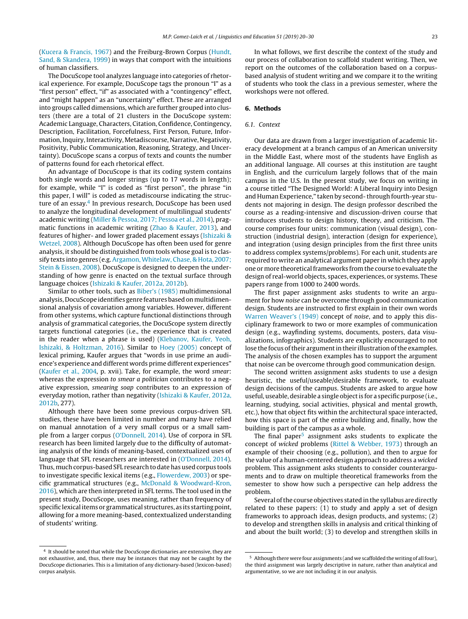([Kucera](#page-9-0) [&](#page-9-0) [Francis,](#page-9-0) [1967\)](#page-9-0) and the Freiburg-Brown Corpus [\(Hundt,](#page-9-0) [Sand,](#page-9-0) [&](#page-9-0) [Skandera,](#page-9-0) [1999\)](#page-9-0) in ways that comport with the intuitions of human classifiers.

The DocuScope tool analyzes language into categories of rhetorical experience. For example, DocuScope tags the pronoun "I" as a "first person" effect, "if" as associated with a "contingency" effect, and "might happen" as an "uncertainty" effect. These are arranged into groups called dimensions, which are further grouped into clusters (there are a total of 21 clusters in the DocuScope system: Academic Language, Characters, Citation, Confidence, Contingency, Description, Facilitation, Forcefulness, First Person, Future, Information, Inquiry, Interactivity, Metadiscourse, Narrative, Negativity, Positivity, Public Communication, Reasoning, Strategy, and Uncertainty). DocuScope scans a corpus of texts and counts the number of patterns found for each rhetorical effect.

An advantage of DocuScope is that its coding system contains both single words and longer strings (up to 17 words in length); for example, while "I" is coded as "first person", the phrase "in this paper, I will" is coded as metadiscourse indicating the structure of an essay. $4$  In previous research, DocuScope has been used to analyze the longitudinal development of multilingual students' academic writing [\(Miller](#page-10-0) [&](#page-10-0) [Pessoa,](#page-10-0) [2017;](#page-10-0) [Pessoa](#page-10-0) et [al.,](#page-10-0) [2014\),](#page-10-0) pragmatic functions in academic writing [\(Zhao](#page-10-0) [&](#page-10-0) [Kaufer,](#page-10-0) [2013\),](#page-10-0) and features of higher- and lower graded placement essays [\(Ishizaki](#page-9-0) [&](#page-9-0) [Wetzel,](#page-9-0) [2008\).](#page-9-0) Although DocuScope has often been used for genre analysis, it should be distinguished from tools whose goal is to classify texts into genres (e.g. [Argamon,Whitelaw,](#page-9-0) [Chase,](#page-9-0) [&](#page-9-0) [Hota,](#page-9-0) [2007;](#page-9-0) [Stein](#page-9-0) [&](#page-9-0) [Eissen,](#page-9-0) [2008\).](#page-9-0) DocuScope is designed to deepen the understanding of how genre is enacted on the textual surface through language choices ([Ishizaki](#page-9-0) [&](#page-9-0) [Kaufer,](#page-9-0) [2012a,](#page-9-0) [2012b\).](#page-9-0)

Similar to other tools, such as [Biber's](#page-9-0) [\(1985\)](#page-9-0) multidimensional analysis, DocuScope identifies genre features basedonmultidimensional analysis of covariation among variables. However, different from other systems, which capture functional distinctions through analysis of grammatical categories, the DocuScope system directly targets functional categories (i.e., the experience that is created in the reader when a phrase is used) ([Klebanov,](#page-9-0) [Kaufer,](#page-9-0) [Yeoh,](#page-9-0) [Ishizaki,](#page-9-0) [&](#page-9-0) [Holtzman,](#page-9-0) [2016\).](#page-9-0) Similar to [Hoey](#page-9-0) [\(2005\)](#page-9-0) concept of lexical priming, Kaufer argues that "words in use prime an audience's experience and different words prime different experiences" ([Kaufer](#page-9-0) et [al.,](#page-9-0) [2004,](#page-9-0) p. xvii). Take, for example, the word smear: whereas the expression to smear a politician contributes to a negative expression, smearing soap contributes to an expression of everyday motion, rather than negativity [\(Ishizaki](#page-9-0) [&](#page-9-0) [Kaufer,](#page-9-0) [2012a,](#page-9-0) [2012b,](#page-9-0) 277).

Although there have been some previous corpus-driven SFL studies, these have been limited in number and many have relied on manual annotation of a very small corpus or a small sample from a larger corpus [\(O'Donnell,](#page-10-0) [2014\).](#page-10-0) Use of corpora in SFL research has been limited largely due to the difficulty of automating analysis of the kinds of meaning-based, contextualized uses of language that SFL researchers are interested in ([O'Donnell,](#page-10-0) [2014\).](#page-10-0) Thus, much corpus-based SFL research to date has used corpus tools to investigate specific lexical items (e.g., [Flowerdew,](#page-9-0) [2003\)](#page-9-0) or specific grammatical structures (e.g., [McDonald](#page-10-0) [&](#page-10-0) [Woodward-Kron,](#page-10-0) [2016\),](#page-10-0) which are then interpreted in SFL terms. The tool used in the present study, DocuScope, uses meaning, rather than frequency of specific lexical items or grammatical structures, as its starting point, allowing for a more meaning-based, contextualized understanding of students' writing.

<sup>4</sup> It should be noted that while the DocuScope dictionaries are extensive, they are not exhaustive, and, thus, there may be instances that may not be caught by the DocuScope dictionaries. This is a limitation of any dictionary-based (lexicon-based) corpus analysis.

In what follows, we first describe the context of the study and our process of collaboration to scaffold student writing. Then, we report on the outcomes of the collaboration based on a corpusbased analysis of student writing and we compare it to the writing of students who took the class in a previous semester, where the workshops were not offered.

#### **6. Methods**

#### 6.1. Context

Our data are drawn from a larger investigation of academic literacy development at a branch campus of an American university in the Middle East, where most of the students have English as an additional language. All courses at this institution are taught in English, and the curriculum largely follows that of the main campus in the U.S. In the present study, we focus on writing in a course titled "The Designed World: A Liberal Inquiry into Design and Human Experience," taken by second- through fourth-year students not majoring in design. The design professor described the course as a reading-intensive and discussion-driven course that introduces students to design history, theory, and criticism. The course comprises four units: communication (visual design), construction (industrial design), interaction (design for experience), and integration (using design principles from the first three units to address complex systems/problems). For each unit, students are required to write an analytical argument paper in which they apply one or more theoretical frameworks from the course to evaluate the design of real-world objects, spaces, experiences, or systems. These papers range from 1000 to 2400 words.

The first paper assignment asks students to write an argument for how noise can be overcome through good communication design. Students are instructed to first explain in their own words [Warren](#page-10-0) [Weaver's](#page-10-0) [\(1949\)](#page-10-0) concept of noise, and to apply this disciplinary framework to two or more examples of communication design (e.g., wayfinding systems, documents, posters, data visualizations, infographics). Students are explicitly encouraged to not lose the focus of their argument in their illustration of the examples. The analysis of the chosen examples has to support the argument that noise can be overcome through good communication design.

The second written assignment asks students to use a design heuristic, the useful/useable/desirable framework, to evaluate design decisions of the campus. Students are asked to argue how useful, useable, desirable a single object is for a specific purpose (i.e., learning, studying, social activities, physical and mental growth, etc.), how that object fits within the architectural space interacted, how this space is part of the entire building and, finally, how the building is part of the campus as a whole.

The final paper<sup>5</sup> assignment asks students to explicate the concept of wicked problems [\(Rittel](#page-10-0) [&](#page-10-0) [Webber,](#page-10-0) [1973\)](#page-10-0) through an example of their choosing (e.g., pollution), and then to argue for the value of a human-centered design approach to address a wicked problem. This assignment asks students to consider counterarguments and to draw on multiple theoretical frameworks from the semester to show how such a perspective can help address the problem.

Several of the course objectives stated in the syllabus are directly related to these papers: (1) to study and apply a set of design frameworks to approach ideas, design products, and systems; (2) to develop and strengthen skills in analysis and critical thinking of and about the built world; (3) to develop and strengthen skills in

<sup>&</sup>lt;sup>5</sup> Although there were four assignments (and we scaffolded the writing of all four), the third assignment was largely descriptive in nature, rather than analytical and argumentative, so we are not including it in our analysis.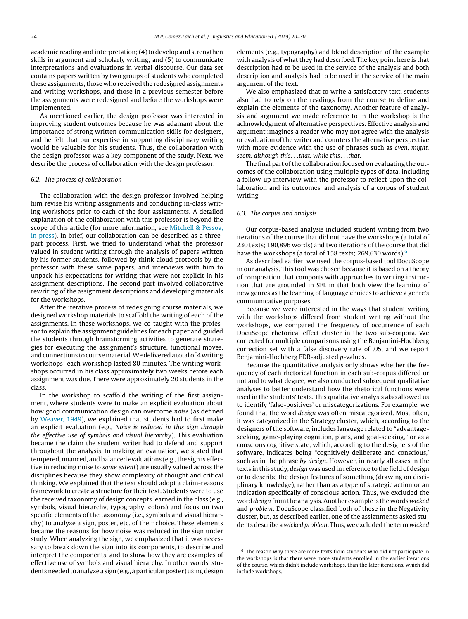academic reading and interpretation; (4) to develop and strengthen skills in argument and scholarly writing; and (5) to communicate interpretations and evaluations in verbal discourse. Our data set contains papers written by two groups of students who completed these assignments, those who received the redesigned assignments and writing workshops, and those in a previous semester before the assignments were redesigned and before the workshops were implemented.

As mentioned earlier, the design professor was interested in improving student outcomes because he was adamant about the importance of strong written communication skills for designers, and he felt that our expertise in supporting disciplinary writing would be valuable for his students. Thus, the collaboration with the design professor was a key component of the study. Next, we describe the process of collaboration with the design professor.

#### 6.2. The process of collaboration

The collaboration with the design professor involved helping him revise his writing assignments and conducting in-class writing workshops prior to each of the four assignments. A detailed explanation of the collaboration with this professor is beyond the scope of this article (for more information, see [Mitchell](#page-10-0) [&](#page-10-0) [Pessoa,](#page-10-0) [in](#page-10-0) [press\).](#page-10-0) In brief, our collaboration can be described as a threepart process. First, we tried to understand what the professor valued in student writing through the analysis of papers written by his former students, followed by think-aloud protocols by the professor with these same papers, and interviews with him to unpack his expectations for writing that were not explicit in his assignment descriptions. The second part involved collaborative rewriting of the assignment descriptions and developing materials for the workshops.

After the iterative process of redesigning course materials, we designed workshop materials to scaffold the writing of each of the assignments. In these workshops, we co-taught with the professor to explain the assignment guidelines for each paper and guided the students through brainstorming activities to generate strategies for executing the assignment's structure, functional moves, and connections to course material. We delivered a total of 4 writing workshops; each workshop lasted 80 minutes. The writing workshops occurred in his class approximately two weeks before each assignment was due. There were approximately 20 students in the class.

In the workshop to scaffold the writing of the first assignment, where students were to make an explicit evaluation about how good communication design can overcome noise (as defined by [Weaver,](#page-10-0) [1949\),](#page-10-0) we explained that students had to first make an explicit evaluation (e.g., Noise is reduced in this sign through the effective use of symbols and visual hierarchy). This evaluation became the claim the student writer had to defend and support throughout the analysis. In making an evaluation, we stated that tempered, nuanced, and balanced evaluations (e.g., the sign is effective in reducing noise to some extent) are usually valued across the disciplines because they show complexity of thought and critical thinking. We explained that the text should adopt a claim-reasons framework to create a structure for their text. Students were to use the received taxonomy of design concepts learned in the class (e.g., symbols, visual hierarchy, typography, colors) and focus on two specific elements of the taxonomy (i.e., symbols and visual hierarchy) to analyze a sign, poster, etc. of their choice. These elements became the reasons for how noise was reduced in the sign under study. When analyzing the sign, we emphasized that it was necessary to break down the sign into its components, to describe and interpret the components, and to show how they are examples of effective use of symbols and visual hierarchy. In other words, students needed to analyze a sign (e.g., a particular poster) using design elements (e.g., typography) and blend description of the example with analysis of what they had described. The key point here is that description had to be used in the service of the analysis and both description and analysis had to be used in the service of the main argument of the text.

We also emphasized that to write a satisfactory text, students also had to rely on the readings from the course to define and explain the elements of the taxonomy. Another feature of analysis and argument we made reference to in the workshop is the acknowledgment of alternative perspectives. Effective analysis and argument imagines a reader who may not agree with the analysis or evaluation of the writer and counters the alternative perspective with more evidence with the use of phrases such as even, might, seem, although this. . .that, while this. . .that.

The final part of the collaboration focused on evaluating the outcomes of the collaboration using multiple types of data, including a follow-up interview with the professor to reflect upon the collaboration and its outcomes, and analysis of a corpus of student writing.

#### 6.3. The corpus and analysis

Our corpus-based analysis included student writing from two iterations of the course that did not have the workshops (a total of 230 texts; 190,896 words) and two iterations of the course that did have the workshops (a total of 158 texts; 269,630 words). $6$ 

As described earlier, we used the corpus-based tool DocuScope in our analysis. This tool was chosen because it is based on a theory of composition that comports with approaches to writing instruction that are grounded in SFL in that both view the learning of new genres as the learning of language choices to achieve a genre's communicative purposes.

Because we were interested in the ways that student writing with the workshops differed from student writing without the workshops, we compared the frequency of occurrence of each DocuScope rhetorical effect cluster in the two sub-corpora. We corrected for multiple comparisons using the Benjamini-Hochberg correction set with a false discovery rate of .05, and we report Benjamini-Hochberg FDR-adjusted p-values.

Because the quantitative analysis only shows whether the frequency of each rhetorical function in each sub-corpus differed or not and to what degree, we also conducted subsequent qualitative analyses to better understand how the rhetorical functions were used in the students' texts. This qualitative analysis also allowed us to identify 'false-positives' or miscategorizations. For example, we found that the word design was often miscategorized. Most often, it was categorized in the Strategy cluster, which, according to the designers of the software, includes language related to "advantageseeking, game-playing cognition, plans, and goal-seeking," or as a conscious cognitive state, which, according to the designers of the software, indicates being "cognitively deliberate and conscious,' such as in the phrase by design. However, in nearly all cases in the texts in this study, design was used in reference to the field of design or to describe the design features of something (drawing on disciplinary knowledge), rather than as a type of strategic action or an indication specifically of conscious action. Thus, we excluded the word design from the analysis. Another example is the words wicked and problem. DocuScope classified both of these in the Negativity cluster, but, as described earlier, one of the assignments asked students describe a wicked problem. Thus, we excluded the term wicked

 $6$  The reason why there are more texts from students who did not participate in the workshops is that there were more students enrolled in the earlier iterations of the course, which didn't include workshops, than the later iterations, which did include workshops.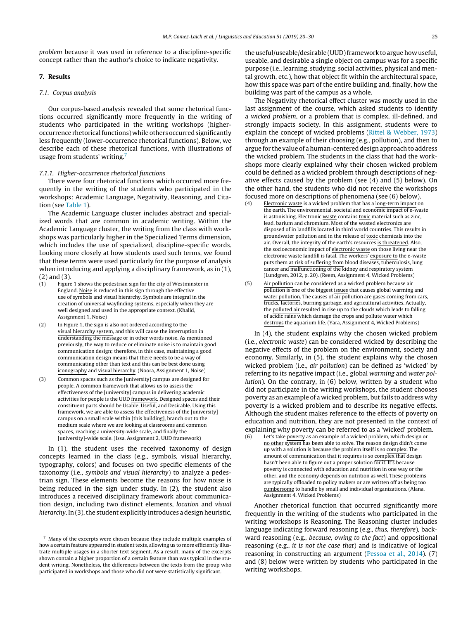problem because it was used in reference to a discipline-specific concept rather than the author's choice to indicate negativity.

## **7. Results**

## 7.1. Corpus analysis

Our corpus-based analysis revealed that some rhetorical functions occurred significantly more frequently in the writing of students who participated in the writing workshops (higheroccurrence rhetorical functions) while others occurred significantly less frequently (lower-occurrence rhetorical functions). Below, we describe each of these rhetorical functions, with illustrations of usage from students' writing.7

#### 7.1.1. Higher-occurrence rhetorical functions

There were four rhetorical functions which occurred more frequently in the writing of the students who participated in the workshops: Academic Language, Negativity, Reasoning, and Citation (see [Table](#page-6-0) 1).

The Academic Language cluster includes abstract and specialized words that are common in academic writing. Within the Academic Language cluster, the writing from the class with workshops was particularly higher in the Specialized Terms dimension, which includes the use of specialized, discipline-specific words. Looking more closely at how students used such terms, we found that these terms were used particularly for the purpose of analysis when introducing and applying a disciplinary framework, as in (1), (2) and (3).

- (1) Figure 1 shows the pedestrian sign for the city of Westminster in England. Noise is reduced in this sign through the effective use of symbols and visual hierarchy. Symbols are integral in the creation of universal wayfinding systems, especially when they are well designed and used in the appropriate context. (Khalid, Assignment 1, Noise)
- (2) In Figure 1, the sign is also not ordered according to the visual hierarchy system, and this will cause the interruption in understanding the message or in other words noise. As mentioned previously, the way to reduce or eliminate noise is to maintain good communication design; therefore, in this case, maintaining a good communication design means that there needs to be a way of communicating other than text and this can be best done using iconography and visual hierarchy. (Noora, Assignment 1, Noise)
- (3) Common spaces such as the [university] campus are designed for people. A common framework that allows us to assess the effectiveness of the [university] campus in delivering academic activities for people is the UUD framework. Designed spaces and their constituent parts should be Usable, Useful, and Desirable. Using this framework, we are able to assess the effectiveness of the [university] campus on a small scale within [this building], branch out to the medium scale where we are looking at classrooms and common spaces, reaching a university-wide scale, and finally the [university]-wide scale. (Issa, Assignment 2, UUD framework)

In (1), the student uses the received taxonomy of design concepts learned in the class (e.g., symbols, visual hierarchy, typography, colors) and focuses on two specific elements of the taxonomy (i.e., symbols and visual hierarchy) to analyze a pedestrian sign. These elements become the reasons for how noise is being reduced in the sign under study. In (2), the student also introduces a received disciplinary framework about communication design, including two distinct elements, location and visual  $hierarchy$ . In (3), the student explicitly introduces a design heuristic,

the useful/useable/desirable (UUD) framework to argue how useful, useable, and desirable a single object on campus was for a specific purpose (i.e., learning, studying, social activities, physical and mental growth, etc.), how that object fit within the architectural space, how this space was part of the entire building and, finally, how the building was part of the campus as a whole.

The Negativity rhetorical effect cluster was mostly used in the last assignment of the course, which asked students to identify a wicked problem, or a problem that is complex, ill-defined, and strongly impacts society. In this assignment, students were to explain the concept of wicked problems [\(Rittel](#page-10-0) [&](#page-10-0) [Webber,](#page-10-0) [1973\)](#page-10-0) through an example of their choosing (e.g., pollution), and then to argue for the value of a human-centered design approach to address the wicked problem. The students in the class that had the workshops more clearly explained why their chosen wicked problem could be defined as a wicked problem through descriptions of negative effects caused by the problem (see (4) and (5) below). On the other hand, the students who did not receive the workshops focused more on descriptions of phenomena (see (6) below).

- (4) Electronic waste is a wicked problem that has a long-term impact on the earth. The environmental, societal and economic impact of e-waste is astonishing. Electronic waste contains toxic material such as zinc, lead, barium and chromium. Most of the wasted electronics are disposed of in landfills located in third world countries. This results in groundwater pollution and in the release of toxic chemicals into the air. Overall, the integrity of the earth's resources is threatened. Also, the socioeconomic impact of electronic waste on those living near the electronic waste landfill is fatal. The workers' exposure to the e-waste puts them at risk of suffering from blood diseases, tuberculosis, lung cancer and malfunctioning of the kidney and respiratory system (Lundgren, 2012, p. 20). (Reem, Assignment 4, Wicked Problems)
- (5) Air pollution can be considered as a wicked problem because air pollution is one of the biggest issues that causes global warming and water pollution. The causes of air pollution are gases coming from cars, trucks, factories, burning garbage, and agricultural activities. Actually, the polluted air resulted in rise up to the clouds which leads to falling of acidic rains which damage the crops and pollute water which destroys the aquarium life. (Yara, Assignment 4, Wicked Problems)

In (4), the student explains why the chosen wicked problem (i.e., electronic waste) can be considered wicked by describing the negative effects of the problem on the environment, society and economy. Similarly, in (5), the student explains why the chosen wicked problem (i.e., air pollution) can be defined as 'wicked' by referring to its negative impact (i.e., global warming and water pollution). On the contrary, in (6) below, written by a student who did not participate in the writing workshops, the student chooses poverty as an example of a wicked problem, but fails to address why poverty is a wicked problem and to describe its negative effects. Although the student makes reference to the effects of poverty on education and nutrition, they are not presented in the context of explaining why poverty can be referred to as a 'wicked' problem.

(6) Let's take poverty as an example of a wicked problem, which design or no other system has been able to solve. The reason design didn't come up with a solution is because the problem itself is so complex. The amount of communication that it requires is so complex that design hasn't been able to figure out a proper solution for it. It's because poverty is connected with education and nutrition in one way or the other, and the economy depends on nutrition as well. These problems are typically offloaded to policy makers or are written off as being too cumbersome to handle by small and individual organizations. (Alana, Assignment 4, Wicked Problems)

Another rhetorical function that occurred significantly more frequently in the writing of the students who participated in the writing workshops is Reasoning. The Reasoning cluster includes language indicating forward reasoning (e.g., thus, therefore), backward reasoning (e.g., because, owing to the fact) and oppositional reasoning (e.g., it is not the case that) and is indicative of logical reasoning in constructing an argument ([Pessoa](#page-10-0) et [al.,](#page-10-0) [2014\).](#page-10-0) (7) and (8) below were written by students who participated in the writing workshops.

 $7$  Many of the excerpts were chosen because they include multiple examples of how a certain feature appeared in student texts, allowing us to more efficiently illustrate multiple usages in a shorter text segment. As a result, many of the excerpts shown contain a higher proportion of a certain feature than was typical in the student writing. Nonetheless, the differences between the texts from the group who participated in workshops and those who did not were statistically significant.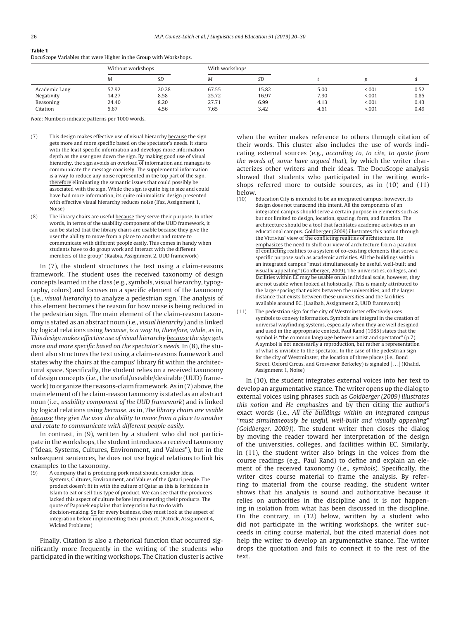#### <span id="page-6-0"></span>**Table 1** DocuScope Variables that were Higher in the Group with Workshops.

|               | Without workshops |           | With workshops |       |      |         |      |
|---------------|-------------------|-----------|----------------|-------|------|---------|------|
|               | M                 | <b>SD</b> | M              | SD    |      |         |      |
| Academic Lang | 57.92             | 20.28     | 67.55          | 15.82 | 5.00 | < 0.001 | 0.52 |
| Negativity    | 14.27             | 8.58      | 25.72          | 16.97 | 7.90 | < 0.001 | 0.85 |
| Reasoning     | 24.40             | 8.20      | 27.71          | 6.99  | 4.13 | < 0.001 | 0.43 |
| Citation      | 5.67              | 4.56      | 7.65           | 3.42  | 4.61 | < 001   | 0.49 |

Note: Numbers indicate patterns per 1000 words.

- (7) This design makes effective use of visual hierarchy because the sign gets more and more specific based on the spectator's needs. It starts with the least specific information and develops more information depth as the user goes down the sign. By making good use of visual hierarchy, the sign avoids an overload  $\overline{of}$  information and manages to communicate the message concisely. The supplemental information is a way to reduce any noise represented in the top part of the sign, therefore eliminating the semantic issues that could possibly be associated with the sign. While the sign is quite big in size and could have had more information, its quite minimalistic design presented with effective visual hierarchy reduces noise (Ifaz, Assignment 1, Noise)
- (8) The library chairs are useful because they serve their purpose. In other words, in terms of the usability component of the UUD framework, it can be stated that the library chairs are usable because they give the user the ability to move from a place to another and rotate to communicate with different people easily. This comes in handy when students have to do group work and interact with the different members of the group" (Raabia, Assignment 2, UUD framework)

In (7), the student structures the text using a claim-reasons framework. The student uses the received taxonomy of design concepts learned in the class (e.g., symbols, visual hierarchy, typography, colors) and focuses on a specific element of the taxonomy (i.e., visual hierarchy) to analyze a pedestrian sign. The analysis of this element becomes the reason for how noise is being reduced in the pedestrian sign. The main element of the claim-reason taxonomy is stated as an abstract noun (i.e., visual hierarchy) and is linked by logical relations using because, is a way to, therefore, while, as in, This design makes effective use of visual hierarchy because the sign gets more and more specific based on the spectator's needs. In (8), the student also structures the text using a claim-reasons framework and states why the chairs at the campus' library fit within the architectural space. Specifically, the student relies on a received taxonomy of design concepts (i.e., the useful/useable/desirable (UUD) framework) to organize the reasons-claim framework. As in  $(7)$  above, the main element of the claim-reason taxonomy is stated as an abstract noun (i.e., usability component of the UUD framework) and is linked by logical relations using because, as in, The library chairs are usable because they give the user the ability to move from a place to another and rotate to communicate with different people easily.

In contrast, in (9), written by a student who did not participate in the workshops, the student introduces a received taxonomy ("Ideas, Systems, Cultures, Environment, and Values"), but in the subsequent sentences, he does not use logical relations to link his examples to the taxonomy.

(9) A company that is producing pork meat should consider Ideas, Systems, Cultures, Environment, and Values of the Qatari people. The product doesn't fit in with the culture of Qatar as this is forbidden in Islam to eat or sell this type of product. We can see that the producers lacked this aspect of culture before implementing their products. The quote of Papanek explains that integration has to do with decision-making. So for every business, they must look at the aspect of integration before implementing their product. (Patrick, Assignment 4, Wicked Problems)

Finally, Citation is also a rhetorical function that occurred significantly more frequently in the writing of the students who participated in the writing workshops. The Citation cluster is active

when the writer makes reference to others through citation of their words. This cluster also includes the use of words indicating external sources (e.g., according to, to cite, to quote from the words of, some have argued that), by which the writer characterizes other writers and their ideas. The DocuScope analysis showed that students who participated in the writing workshops referred more to outside sources, as in (10) and (11) below.

- tion City is intended to be an integrated campus; however, its design does not transcend this intent. All the components of an integrated campus should serve a certain purpose in elements such as but not limited to design, location, spacing, form, and function. The architecture should be a tool that facilitates academic activities in an educational campus. Goldberger (2009) illustrates this notion through the Vitrivius' view of the conflicting realities of architecture. He emphasizes the need to shift our view of architecture from a paradox of conflicting realities to a system of co-existing elements that serve a specific purpose such as academic activities. All the buildings within an integrated campus "must simultaneously be useful, well-built and visually appealing" (Goldberger, 2009). The universities, colleges, and facilities within EC may be usable on an individual scale, however, they are not usable when looked at holistically. This is mainly attributed to the large spacing that exists between the universities, and the larger distance that exists between these universities and the facilities available around EC. (Laaibah, Assignment 2, UUD framework)
- The pedestrian sign for the city of Westminster effectively uses symbols to convey information. Symbols are integral in the creation of universal wayfinding systems, especially when they are well designed and used in the appropriate context. Paul Rand (1985) states that the symbol is "the common language between artist and spectator" (p.7). A symbol is not necessarily a reproduction, but rather a representation of what is invisible to the spectator. In the case of the pedestrian sign for the city of Westminster, the location of three places (i.e., Bond Street, Oxford Circus, and Grosvenor Berkeley) is signaled [. . .] (Khalid, Assignment 1, Noise)

In (10), the student integrates external voices into her text to develop an argumentative stance. The writer opens up the dialog to external voices using phrases such as Goldberger (2009) illustrates this notion and He emphasizes and  $\overline{by}$  then citing the author's exact words (i.e., All the buildings within an integrated campus "must simultaneously be useful, well-built and visually appealing" (Goldberger, 2009)). The student writer then closes the dialog by moving the reader toward her interpretation of the design of the universities, colleges, and facilities within EC. Similarly, in (11), the student writer also brings in the voices from the course readings (e.g., Paul Rand) to define and explain an element of the received taxonomy (i.e., symbols). Specifically, the writer cites course material to frame the analysis. By referring to material from the course reading, the student writer shows that his analysis is sound and authoritative because it relies on authorities in the discipline and it is not happening in isolation from what has been discussed in the discipline. On the contrary, in (12) below, written by a student who did not participate in the writing workshops, the writer succeeds in citing course material, but the cited material does not help the writer to develop an argumentative stance. The writer drops the quotation and fails to connect it to the rest of the text.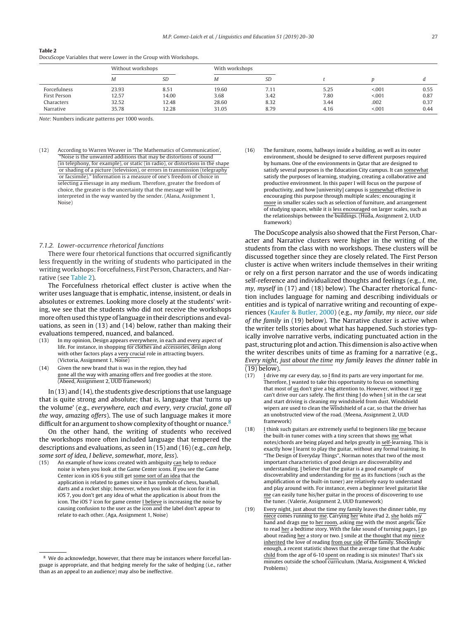#### **Table 2**

DocuScope Variables that were Lower in the Group with Workshops.

|              | Without workshops |       | With workshops |      |      |       |      |
|--------------|-------------------|-------|----------------|------|------|-------|------|
|              | Μ                 | SD    | M              | SD   |      |       |      |
| Forcefulness | 23.93             | 8.51  | 19.60          | 7.11 | 5.25 | < 001 | 0.55 |
| First Person | 12.57             | 14.00 | 3.68           | 3.42 | 7.80 | < 001 | 0.87 |
| Characters   | 32.52             | 12.48 | 28.60          | 8.32 | 3.44 | .002  | 0.37 |
| Narrative    | 35.78             | 12.28 | 31.05          | 8.79 | 4.16 | < 001 | 0.44 |

Note: Numbers indicate patterns per 1000 words.

(12) According to Warren Weaver in 'The Mathematics of Communication', "Noise is the unwanted additions that may be distortions of sound (in telephony, for example), or static (in radio), or distortions in the shape or shading of a picture (television), or errors in transmission (telegraphy or facsimile)." Information is a measure of one's freedom of choice in selecting a message in any medium. Therefore, greater the freedom of choice, the greater is the uncertainty that the message will be interpreted in the way wanted by the sender. (Alana, Assignment 1, Noise)

#### 7.1.2. Lower-occurrence rhetorical functions

There were four rhetorical functions that occurred significantly less frequently in the writing of students who participated in the writing workshops: Forcefulness, First Person, Characters, and Narrative (see Table 2).

The Forcefulness rhetorical effect cluster is active when the writer uses language that is emphatic, intense, insistent, or deals in absolutes or extremes. Looking more closely at the students' writing, we see that the students who did not receive the workshops more often used this type oflanguage in their descriptions and evaluations, as seen in (13) and (14) below, rather than making their evaluations tempered, nuanced, and balanced.

- (13) In my opinion, Design appears everywhere, in each and every aspect of life. For instance, in shopping for clothes and accessories, design along with other factors plays a very crucial role in attracting buyers. (Victoria, Assignment 1, Noise)
- (14) Given the new brand that is was in the region, they had gone all the way with amazing offers and free goodies at the store. (Abeed, Assignment 2, UUD framework)

In  $(13)$  and  $(14)$ , the students give descriptions that use language that is quite strong and absolute; that is, language that 'turns up the volume' (e.g., everywhere, each and every, very crucial, gone all the way, amazing offers). The use of such language makes it more difficult for an argument to show complexity of thought or nuance.<sup>8</sup>

On the other hand, the writing of students who received the workshops more often included language that tempered the descriptions and evaluations, as seen in (15) and (16) (e.g., can help, some sort of idea, I believe, somewhat, more, less).

(15) An example of how icons created with ambiguity can help to reduce noise is when you look at the Game Center icons. If you see the Game Center icon in iOS 6 you still get some sort of an idea that the application is related to games since it has symbols of chess, baseball, darts and a rocket ship; however, when you look at the icon for it in iOS 7, you don't get any idea of what the application is about from the icon. The iOS 7 icon for game center I believe is increasing the noise by causing confusion to the user as the icon and the label don't appear to relate to each other. (Aga, Assignment 1, Noise)

(16) The furniture, rooms, hallways inside a building, as well as its outer environment, should be designed to serve different purposes required by humans. One of the environments in Qatar that are designed to satisfy several purposes is the Education City campus. It can somewhat satisfy the purposes of learning, studying, creating a collaborative and productive environment. In this paper I will focus on the purpose of productivity, and how [university] campus is somewhat effective in encouraging this purpose through multiple scales; encouraging it more in smaller scales such as selection of furniture, and arrangement of studying spaces, while it is less encouraged on larger scales, such as the relationships between the buildings. (Huda, Assignment 2, UUD framework)

The DocuScope analysis also showed that the First Person, Character and Narrative clusters were higher in the writing of the students from the class with no workshops. These clusters will be discussed together since they are closely related. The First Person cluster is active when writers include themselves in their writing or rely on a first person narrator and the use of words indicating self-reference and individualized thoughts and feelings (e.g., I, me, my, myself in (17) and (18) below). The Character rhetorical function includes language for naming and describing individuals or entities and is typical of narrative writing and recounting of experiences [\(Kaufer](#page-9-0) [&](#page-9-0) [Butler,](#page-9-0) [2000\)](#page-9-0) (e.g., my family, my niece, our side of the family in (19) below). The Narrative cluster is active when the writer tells stories about what has happened. Such stories typically involve narrative verbs, indicating punctuated action in the past, structuring plot and action. This dimension is also active when the writer describes units of time as framing for a narrative (e.g., Every night, just about the time my family leaves the dinner table in  $(19)$  below).

- (17) I drive my car every day, so I find its parts are very important for me. Therefore, I wanted to take this opportunity to focus on something that most of us don't give a big attention to. However, without it we can't drive our cars safely. The first thing I do when I sit in the car seat and start driving is cleaning my windshield from dust. Windshield wipers are used to clean the  $\overline{\text{wind}}$  shirth of a car, so that the driver has an unobstructed view of the road. (Meena, Assignment 2, UUD framework)
- (18) I think such guitars are extremely useful to beginners like me because the built-in tuner comes with a tiny screen that shows me what notes/chords are being played and helps greatly in self-learning. This is exactly how I learnt to play the guitar, without any formal training. In "The Design of Everyday Things", Norman notes that two of the most important characteristics of good design are discoverability and understanding. I believe that the guitar is a good example of discoverability and understanding for me as its functions (such as the amplification or the built-in tuner) are relatively easy to understand and play around with. For instance, even a beginner level guitarist like me can easily tune his/her guitar in the process of discovering to use the tuner. (Valerie, Assignment 2, UUD framework)
- (19) Every night, just about the time my family leaves the dinner table, my niece comes running to me. Carrying her white iPad 2, she holds my hand and drags me to her room, asking me with the most angelic face to read her a bedtime story. With the fake sound of turning pages, I go about reading her a story or two. I smile at the thought that my niece inherited the love of reading from our side of the family. Shockingly enough, a recent statistic shows that the average time that the Arabic child from the age of 6-10 spent on reading is six minutes! That's six  $\overline{\phantom{a}}$ minutes outside the school curriculum. (Maria, Assignment 4, Wicked Problems)

<sup>&</sup>lt;sup>8</sup> We do acknowledge, however, that there may be instances where forceful language is appropriate, and that hedging merely for the sake of hedging (i.e., rather than as an appeal to an audience) may also be ineffective.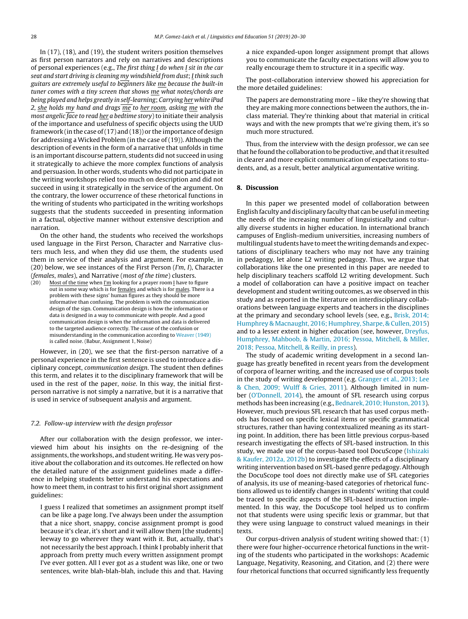In (17), (18), and (19), the student writers position themselves as first person narrators and rely on narratives and descriptions of personal experiences (e.g., The first thing I do when I sit in the car seat and start driving is cleaning my windshield from dust; I think such guitars are extremely useful to beginners like me because the built-in tuner comes with a tiny screen that shows me what notes/chords are being played and helps greatly in self-learning; Carrying her white iPad 2, she holds my hand and drags  $\overline{me}$  to her room, asking me with the most angelic  $\sqrt{a}$  face to read her a bedtime story) to initiate their analysis of the importance and usefulness of specific objects using the UUD framework (in the case of  $(17)$  and  $(18)$ ) or the importance of design for addressing a Wicked Problem (in the case of (19)). Although the description of events in the form of a narrative that unfolds in time is an important discourse pattern, students did not succeed in using it strategically to achieve the more complex functions of analysis and persuasion. In other words, students who did not participate in the writing workshops relied too much on description and did not succeed in using it strategically in the service of the argument. On the contrary, the lower occurrence of these rhetorical functions in the writing of students who participated in the writing workshops suggests that the students succeeded in presenting information in a factual, objective manner without extensive description and narration.

On the other hand, the students who received the workshops used language in the First Person, Character and Narrative clusters much less, and when they did use them, the students used them in service of their analysis and argument. For example, in  $(20)$  below, we see instances of the First Person  $(Im, I)$ , Character (females, males), and Narrative (most of the time) clusters.

(20) Most of the time when I'm looking for a prayer room I have to figure out in some way which is for females and which is for males. There is a problem with these signs' human figures as they should be more informative than confusing. The problem is with the communication design of the sign. Communication design is how the information or data is designed in a way to communicate with people. And a good communication design is when the information and data is delivered to the targeted audience correctly. The cause of the confusion or misunderstanding in the communication according to [Weaver](#page-10-0) [\(1949\)](#page-10-0) is called noise. (Babur, Assignment 1, Noise)

However, in (20), we see that the first-person narrative of a personal experience in the first sentence is used to introduce a disciplinary concept, communication design. The student then defines this term, and relates it to the disciplinary framework that will be used in the rest of the paper, noise. In this way, the initial firstperson narrative is not simply a narrative, but it is a narrative that is used in service of subsequent analysis and argument.

## 7.2. Follow-up interview with the design professor

After our collaboration with the design professor, we interviewed him about his insights on the re-designing of the assignments, the workshops, and student writing. He was very positive about the collaboration and its outcomes. He reflected on how the detailed nature of the assignment guidelines made a difference in helping students better understand his expectations and how to meet them, in contrast to his first original short assignment guidelines:

I guess I realized that sometimes an assignment prompt itself can be like a page long. I've always been under the assumption that a nice short, snappy, concise assignment prompt is good because it's clear, it's short and it will allow them [the students] leeway to go wherever they want with it. But, actually, that's not necessarily the best approach. I think I probably inherit that approach from pretty much every written assignment prompt I've ever gotten. All I ever got as a student was like, one or two sentences, write blah-blah-blah, include this and that. Having

a nice expanded-upon longer assignment prompt that allows you to communicate the faculty expectations will allow you to really encourage them to structure it in a specific way.

The post-collaboration interview showed his appreciation for the more detailed guidelines:

The papers are demonstrating more – like they're showing that they are making more connections between the authors, the inclass material. They're thinking about that material in critical ways and with the new prompts that we're giving them, it's so much more structured.

Thus, from the interview with the design professor, we can see that he found the collaboration to be productive, and that it resulted in clearer and more explicit communication of expectations to students, and, as a result, better analytical argumentative writing.

#### **8. Discussion**

In this paper we presented model of collaboration between English faculty and disciplinary faculty that can be useful in meeting the needs of the increasing number of linguistically and culturally diverse students in higher education. In international branch campuses of English-medium universities, increasing numbers of multilingual students have to meet the writing demands and expectations of disciplinary teachers who may not have any training in pedagogy, let alone L2 writing pedagogy. Thus, we argue that collaborations like the one presented in this paper are needed to help disciplinary teachers scaffold L2 writing development. Such a model of collaboration can have a positive impact on teacher development and student writing outcomes, as we observed in this study and as reported in the literature on interdisciplinary collaborations between language experts and teachers in the disciplines at the primary and secondary school levels (see, e.g., [Brisk,](#page-9-0) [2014;](#page-9-0) [Humphrey](#page-9-0) [&](#page-9-0) [Macnaught,](#page-9-0) [2016;](#page-9-0) [Humphrey,](#page-9-0) [Sharpe,](#page-9-0) [&](#page-9-0) [Cullen,](#page-9-0) [2015\)](#page-9-0) and to a lesser extent in higher education (see, however, [Dreyfus,](#page-9-0) [Humphrey,](#page-9-0) [Mahboob,](#page-9-0) [&](#page-9-0) [Martin,](#page-9-0) [2016;](#page-9-0) [Pessoa,](#page-9-0) [Mitchell,](#page-9-0) [&](#page-9-0) [Miller,](#page-9-0) [2018;](#page-9-0) [Pessoa,](#page-9-0) [Mitchell,](#page-9-0) [&](#page-9-0) [Reilly,](#page-9-0) [in](#page-9-0) [press\).](#page-9-0)

The study of academic writing development in a second language has greatly benefited in recent years from the development of corpora of learner writing, and the increased use of corpus tools in the study of writing development (e.g. [Granger](#page-9-0) et [al.,](#page-9-0) [2013;](#page-9-0) [Lee](#page-9-0) [&](#page-9-0) [Chen,](#page-9-0) [2009;](#page-9-0) [Wulff](#page-9-0) [&](#page-9-0) [Gries,](#page-9-0) [2011\).](#page-9-0) Although limited in number [\(O'Donnell,](#page-10-0) [2014\),](#page-10-0) the amount of SFL research using corpus methods has been increasing (e.g., [Bednarek,](#page-9-0) [2010;](#page-9-0) [Hunston,](#page-9-0) [2013\).](#page-9-0) However, much previous SFL research that has used corpus methods has focused on specific lexical items or specific grammatical structures, rather than having contextualized meaning as its starting point. In addition, there has been little previous corpus-based research investigating the effects of SFL-based instruction. In this study, we made use of the corpus-based tool DocuScope ([Ishizaki](#page-9-0) [&](#page-9-0) [Kaufer,](#page-9-0) [2012a,](#page-9-0) [2012b\)](#page-9-0) to investigate the effects of a disciplinary writing intervention based on SFL-based genre pedagogy. Although the DocuScope tool does not directly make use of SFL categories of analysis, its use of meaning-based categories of rhetorical functions allowed us to identify changes in students' writing that could be traced to specific aspects of the SFL-based instruction implemented. In this way, the DocuScope tool helped us to confirm not that students were using specific lexis or grammar, but that they were using language to construct valued meanings in their texts.

Our corpus-driven analysis of student writing showed that: (1) there were four higher-occurrence rhetorical functions in the writing of the students who participated in the workshops: Academic Language, Negativity, Reasoning, and Citation, and (2) there were four rhetorical functions that occurred significantly less frequently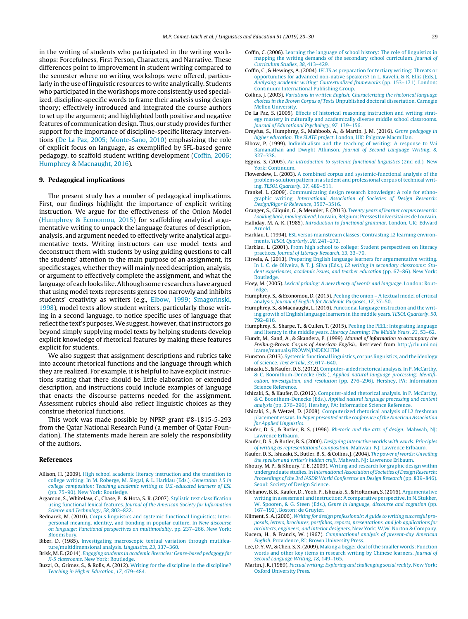<span id="page-9-0"></span>in the writing of students who participated in the writing workshops: Forcefulness, First Person, Characters, and Narrative. These differences point to improvement in student writing compared to the semester where no writing workshops were offered, particularly in the use of linguistic resources to write analytically. Students who participated in the workshops more consistently used specialized, discipline-specific words to frame their analysis using design theory; effectively introduced and integrated the course authors to set up the argument; and highlighted both positive and negative features of communication design. Thus, our study provides further support for the importance of discipline-specific literacy interventions (De La Paz, 2005; Monte-Sano, 2010) emphasizing the role of explicit focus on language, as exemplified by SFL-based genre pedagogy, to scaffold student writing development (Coffin, 2006; Humphrey & Macnaught, 2016).

## **9. Pedagogical implications**

The present study has a number of pedagogical implications. First, our findings highlight the importance of explicit writing instruction. We argue for the effectiveness of the Onion Model (Humphrey & Economou, 2015) for scaffolding analytical argumentative writing to unpack the language features of description, analysis, and argument needed to effectively write analytical argumentative texts. Writing instructors can use model texts and deconstruct them with students by using guiding questions to call the students' attention to the main purpose of an assignment, its specific stages, whether they will mainly need description, analysis, or argument to effectively complete the assignment, and what the language of each looks like.Although some researchers have argued that using model texts represents genres too narrowly and inhibits students' creativity as writers (e.g., Elbow, 1999; Smagorinski, 1998), model texts allow student writers, particularly those writing in a second language, to notice specific uses of language that reflect the text's purposes. We suggest, however, that instructors go beyond simply supplying model texts by helping students develop explicit knowledge of rhetorical features by making these features explicit for students.

We also suggest that assignment descriptions and rubrics take into account rhetorical functions and the language through which they are realized. For example, it is helpful to have explicit instructions stating that there should be little elaboration or extended description, and instructions could include examples of language that enacts the discourse patterns needed for the assignment. Assessment rubrics should also reflect linguistic choices as they construe rhetorical functions.

This work was made possible by NPRP grant #8-1815-5-293 from the Qatar National Research Fund (a member of Qatar Foundation). The statements made herein are solely the responsibility of the authors.

#### **References**

- Allison, H. (2009). [High](http://refhub.elsevier.com/S0898-5898(18)30262-6/sbref0005) [school](http://refhub.elsevier.com/S0898-5898(18)30262-6/sbref0005) [academic](http://refhub.elsevier.com/S0898-5898(18)30262-6/sbref0005) [literacy](http://refhub.elsevier.com/S0898-5898(18)30262-6/sbref0005) [instruction](http://refhub.elsevier.com/S0898-5898(18)30262-6/sbref0005) [and](http://refhub.elsevier.com/S0898-5898(18)30262-6/sbref0005) [the](http://refhub.elsevier.com/S0898-5898(18)30262-6/sbref0005) [transition](http://refhub.elsevier.com/S0898-5898(18)30262-6/sbref0005) [to](http://refhub.elsevier.com/S0898-5898(18)30262-6/sbref0005) [college](http://refhub.elsevier.com/S0898-5898(18)30262-6/sbref0005) [writing.](http://refhub.elsevier.com/S0898-5898(18)30262-6/sbref0005) [In](http://refhub.elsevier.com/S0898-5898(18)30262-6/sbref0005) [M.](http://refhub.elsevier.com/S0898-5898(18)30262-6/sbref0005) [Roberge,](http://refhub.elsevier.com/S0898-5898(18)30262-6/sbref0005) [M.](http://refhub.elsevier.com/S0898-5898(18)30262-6/sbref0005) [Siegal,](http://refhub.elsevier.com/S0898-5898(18)30262-6/sbref0005) [&](http://refhub.elsevier.com/S0898-5898(18)30262-6/sbref0005) [L.](http://refhub.elsevier.com/S0898-5898(18)30262-6/sbref0005) [Harklau](http://refhub.elsevier.com/S0898-5898(18)30262-6/sbref0005) [\(Eds.\),](http://refhub.elsevier.com/S0898-5898(18)30262-6/sbref0005) [Generation](http://refhub.elsevier.com/S0898-5898(18)30262-6/sbref0005) [1.5](http://refhub.elsevier.com/S0898-5898(18)30262-6/sbref0005) [in](http://refhub.elsevier.com/S0898-5898(18)30262-6/sbref0005) [college](http://refhub.elsevier.com/S0898-5898(18)30262-6/sbref0005) [composition:](http://refhub.elsevier.com/S0898-5898(18)30262-6/sbref0005) [Teaching](http://refhub.elsevier.com/S0898-5898(18)30262-6/sbref0005) [academic](http://refhub.elsevier.com/S0898-5898(18)30262-6/sbref0005) [writing](http://refhub.elsevier.com/S0898-5898(18)30262-6/sbref0005) [to](http://refhub.elsevier.com/S0898-5898(18)30262-6/sbref0005) [U.S.-educated](http://refhub.elsevier.com/S0898-5898(18)30262-6/sbref0005) [learners](http://refhub.elsevier.com/S0898-5898(18)30262-6/sbref0005) [of](http://refhub.elsevier.com/S0898-5898(18)30262-6/sbref0005) [ESL](http://refhub.elsevier.com/S0898-5898(18)30262-6/sbref0005) [\(pp.](http://refhub.elsevier.com/S0898-5898(18)30262-6/sbref0005) [75–90\).](http://refhub.elsevier.com/S0898-5898(18)30262-6/sbref0005) [New](http://refhub.elsevier.com/S0898-5898(18)30262-6/sbref0005) [York:](http://refhub.elsevier.com/S0898-5898(18)30262-6/sbref0005) [Routledge.](http://refhub.elsevier.com/S0898-5898(18)30262-6/sbref0005)
- Argamon, S., Whitelaw, C., Chase, P., & Hota, S. R. (2007). [Stylistic](http://refhub.elsevier.com/S0898-5898(18)30262-6/sbref0010) [text](http://refhub.elsevier.com/S0898-5898(18)30262-6/sbref0010) [classification](http://refhub.elsevier.com/S0898-5898(18)30262-6/sbref0010) [using](http://refhub.elsevier.com/S0898-5898(18)30262-6/sbref0010) [functional](http://refhub.elsevier.com/S0898-5898(18)30262-6/sbref0010) [lexical](http://refhub.elsevier.com/S0898-5898(18)30262-6/sbref0010) [features.](http://refhub.elsevier.com/S0898-5898(18)30262-6/sbref0010) [Journal](http://refhub.elsevier.com/S0898-5898(18)30262-6/sbref0010) [of](http://refhub.elsevier.com/S0898-5898(18)30262-6/sbref0010) [the](http://refhub.elsevier.com/S0898-5898(18)30262-6/sbref0010) [American](http://refhub.elsevier.com/S0898-5898(18)30262-6/sbref0010) [Society](http://refhub.elsevier.com/S0898-5898(18)30262-6/sbref0010) [for](http://refhub.elsevier.com/S0898-5898(18)30262-6/sbref0010) [Information](http://refhub.elsevier.com/S0898-5898(18)30262-6/sbref0010) [Science](http://refhub.elsevier.com/S0898-5898(18)30262-6/sbref0010) [and](http://refhub.elsevier.com/S0898-5898(18)30262-6/sbref0010) [Technology](http://refhub.elsevier.com/S0898-5898(18)30262-6/sbref0010)[,](http://refhub.elsevier.com/S0898-5898(18)30262-6/sbref0010) [58](http://refhub.elsevier.com/S0898-5898(18)30262-6/sbref0010)[,](http://refhub.elsevier.com/S0898-5898(18)30262-6/sbref0010) [802](http://refhub.elsevier.com/S0898-5898(18)30262-6/sbref0010)–[822.](http://refhub.elsevier.com/S0898-5898(18)30262-6/sbref0010)
- Bednarek, M. (2010). [Corpus](http://refhub.elsevier.com/S0898-5898(18)30262-6/sbref0015) [linguistics](http://refhub.elsevier.com/S0898-5898(18)30262-6/sbref0015) [and](http://refhub.elsevier.com/S0898-5898(18)30262-6/sbref0015) [systemic](http://refhub.elsevier.com/S0898-5898(18)30262-6/sbref0015) [functional](http://refhub.elsevier.com/S0898-5898(18)30262-6/sbref0015) [linguistics:](http://refhub.elsevier.com/S0898-5898(18)30262-6/sbref0015) [Inter](http://refhub.elsevier.com/S0898-5898(18)30262-6/sbref0015)[personal](http://refhub.elsevier.com/S0898-5898(18)30262-6/sbref0015) [meaning,](http://refhub.elsevier.com/S0898-5898(18)30262-6/sbref0015) [identity,](http://refhub.elsevier.com/S0898-5898(18)30262-6/sbref0015) [and](http://refhub.elsevier.com/S0898-5898(18)30262-6/sbref0015) [bonding](http://refhub.elsevier.com/S0898-5898(18)30262-6/sbref0015) [in](http://refhub.elsevier.com/S0898-5898(18)30262-6/sbref0015) [popular](http://refhub.elsevier.com/S0898-5898(18)30262-6/sbref0015) [culture.](http://refhub.elsevier.com/S0898-5898(18)30262-6/sbref0015) [In](http://refhub.elsevier.com/S0898-5898(18)30262-6/sbref0015) [New](http://refhub.elsevier.com/S0898-5898(18)30262-6/sbref0015) [discourse](http://refhub.elsevier.com/S0898-5898(18)30262-6/sbref0015) [on](http://refhub.elsevier.com/S0898-5898(18)30262-6/sbref0015) [language:](http://refhub.elsevier.com/S0898-5898(18)30262-6/sbref0015) [Functional](http://refhub.elsevier.com/S0898-5898(18)30262-6/sbref0015) [perspectives](http://refhub.elsevier.com/S0898-5898(18)30262-6/sbref0015) [on](http://refhub.elsevier.com/S0898-5898(18)30262-6/sbref0015) [multimodality](http://refhub.elsevier.com/S0898-5898(18)30262-6/sbref0015)[.](http://refhub.elsevier.com/S0898-5898(18)30262-6/sbref0015) [pp.](http://refhub.elsevier.com/S0898-5898(18)30262-6/sbref0015) [237](http://refhub.elsevier.com/S0898-5898(18)30262-6/sbref0015)–[266.](http://refhub.elsevier.com/S0898-5898(18)30262-6/sbref0015) [New](http://refhub.elsevier.com/S0898-5898(18)30262-6/sbref0015) [York:](http://refhub.elsevier.com/S0898-5898(18)30262-6/sbref0015) **Bloomsbury**
- Biber, D. (1985). [Investigating](http://refhub.elsevier.com/S0898-5898(18)30262-6/sbref0020) [macroscopic](http://refhub.elsevier.com/S0898-5898(18)30262-6/sbref0020) [textual](http://refhub.elsevier.com/S0898-5898(18)30262-6/sbref0020) [variation](http://refhub.elsevier.com/S0898-5898(18)30262-6/sbref0020) [through](http://refhub.elsevier.com/S0898-5898(18)30262-6/sbref0020) [mutlifea](http://refhub.elsevier.com/S0898-5898(18)30262-6/sbref0020)[ture/multidimensional](http://refhub.elsevier.com/S0898-5898(18)30262-6/sbref0020) [analysis.](http://refhub.elsevier.com/S0898-5898(18)30262-6/sbref0020) [Linguistics](http://refhub.elsevier.com/S0898-5898(18)30262-6/sbref0020)[,](http://refhub.elsevier.com/S0898-5898(18)30262-6/sbref0020) [23](http://refhub.elsevier.com/S0898-5898(18)30262-6/sbref0020)[,](http://refhub.elsevier.com/S0898-5898(18)30262-6/sbref0020) [337–360.](http://refhub.elsevier.com/S0898-5898(18)30262-6/sbref0020)
- Brisk, M. E. (2014). [Engaging](http://refhub.elsevier.com/S0898-5898(18)30262-6/sbref0025) [students](http://refhub.elsevier.com/S0898-5898(18)30262-6/sbref0025) [in](http://refhub.elsevier.com/S0898-5898(18)30262-6/sbref0025) [academic](http://refhub.elsevier.com/S0898-5898(18)30262-6/sbref0025) [literacies:](http://refhub.elsevier.com/S0898-5898(18)30262-6/sbref0025) [Genre-based](http://refhub.elsevier.com/S0898-5898(18)30262-6/sbref0025) [pedagogy](http://refhub.elsevier.com/S0898-5898(18)30262-6/sbref0025) [for](http://refhub.elsevier.com/S0898-5898(18)30262-6/sbref0025) [K-5](http://refhub.elsevier.com/S0898-5898(18)30262-6/sbref0025) [classrooms](http://refhub.elsevier.com/S0898-5898(18)30262-6/sbref0025)[.](http://refhub.elsevier.com/S0898-5898(18)30262-6/sbref0025) [New](http://refhub.elsevier.com/S0898-5898(18)30262-6/sbref0025) [York:](http://refhub.elsevier.com/S0898-5898(18)30262-6/sbref0025) [Routledge.](http://refhub.elsevier.com/S0898-5898(18)30262-6/sbref0025)
- Buzzi, O., Grimes, S., & Rolls, A. (2012). [Writing](http://refhub.elsevier.com/S0898-5898(18)30262-6/sbref0030) [for](http://refhub.elsevier.com/S0898-5898(18)30262-6/sbref0030) [the](http://refhub.elsevier.com/S0898-5898(18)30262-6/sbref0030) [discipline](http://refhub.elsevier.com/S0898-5898(18)30262-6/sbref0030) [in](http://refhub.elsevier.com/S0898-5898(18)30262-6/sbref0030) [the](http://refhub.elsevier.com/S0898-5898(18)30262-6/sbref0030) [discipline?](http://refhub.elsevier.com/S0898-5898(18)30262-6/sbref0030) [Teaching](http://refhub.elsevier.com/S0898-5898(18)30262-6/sbref0030) [in](http://refhub.elsevier.com/S0898-5898(18)30262-6/sbref0030) [Higher](http://refhub.elsevier.com/S0898-5898(18)30262-6/sbref0030) [Education](http://refhub.elsevier.com/S0898-5898(18)30262-6/sbref0030), [17](http://refhub.elsevier.com/S0898-5898(18)30262-6/sbref0030)[,](http://refhub.elsevier.com/S0898-5898(18)30262-6/sbref0030) [479–484.](http://refhub.elsevier.com/S0898-5898(18)30262-6/sbref0030)
- Coffin, C. (2006). [Learning](http://refhub.elsevier.com/S0898-5898(18)30262-6/sbref0035) [the](http://refhub.elsevier.com/S0898-5898(18)30262-6/sbref0035) [language](http://refhub.elsevier.com/S0898-5898(18)30262-6/sbref0035) [of](http://refhub.elsevier.com/S0898-5898(18)30262-6/sbref0035) [school](http://refhub.elsevier.com/S0898-5898(18)30262-6/sbref0035) [history:](http://refhub.elsevier.com/S0898-5898(18)30262-6/sbref0035) [The](http://refhub.elsevier.com/S0898-5898(18)30262-6/sbref0035) [role](http://refhub.elsevier.com/S0898-5898(18)30262-6/sbref0035) [of](http://refhub.elsevier.com/S0898-5898(18)30262-6/sbref0035) [linguistics](http://refhub.elsevier.com/S0898-5898(18)30262-6/sbref0035) [in](http://refhub.elsevier.com/S0898-5898(18)30262-6/sbref0035) [mapping](http://refhub.elsevier.com/S0898-5898(18)30262-6/sbref0035) [the](http://refhub.elsevier.com/S0898-5898(18)30262-6/sbref0035) [writing](http://refhub.elsevier.com/S0898-5898(18)30262-6/sbref0035) [demands](http://refhub.elsevier.com/S0898-5898(18)30262-6/sbref0035) [of](http://refhub.elsevier.com/S0898-5898(18)30262-6/sbref0035) [the](http://refhub.elsevier.com/S0898-5898(18)30262-6/sbref0035) [secondary](http://refhub.elsevier.com/S0898-5898(18)30262-6/sbref0035) [school](http://refhub.elsevier.com/S0898-5898(18)30262-6/sbref0035) [curriculum.](http://refhub.elsevier.com/S0898-5898(18)30262-6/sbref0035) [Journal](http://refhub.elsevier.com/S0898-5898(18)30262-6/sbref0035) [of](http://refhub.elsevier.com/S0898-5898(18)30262-6/sbref0035) [Curriculum](http://refhub.elsevier.com/S0898-5898(18)30262-6/sbref0035) [Studies](http://refhub.elsevier.com/S0898-5898(18)30262-6/sbref0035)[,](http://refhub.elsevier.com/S0898-5898(18)30262-6/sbref0035) [38](http://refhub.elsevier.com/S0898-5898(18)30262-6/sbref0035)[,](http://refhub.elsevier.com/S0898-5898(18)30262-6/sbref0035) [413](http://refhub.elsevier.com/S0898-5898(18)30262-6/sbref0035)–[429.](http://refhub.elsevier.com/S0898-5898(18)30262-6/sbref0035)
- Coffin, C., & Hewings, A. (2004). [IELTS](http://refhub.elsevier.com/S0898-5898(18)30262-6/sbref0040) [as](http://refhub.elsevier.com/S0898-5898(18)30262-6/sbref0040) [preparation](http://refhub.elsevier.com/S0898-5898(18)30262-6/sbref0040) [for](http://refhub.elsevier.com/S0898-5898(18)30262-6/sbref0040) [tertiary](http://refhub.elsevier.com/S0898-5898(18)30262-6/sbref0040) [writing:](http://refhub.elsevier.com/S0898-5898(18)30262-6/sbref0040) [Threats](http://refhub.elsevier.com/S0898-5898(18)30262-6/sbref0040) [or](http://refhub.elsevier.com/S0898-5898(18)30262-6/sbref0040) [opportunities](http://refhub.elsevier.com/S0898-5898(18)30262-6/sbref0040) [for](http://refhub.elsevier.com/S0898-5898(18)30262-6/sbref0040) [advanced](http://refhub.elsevier.com/S0898-5898(18)30262-6/sbref0040) [non-native](http://refhub.elsevier.com/S0898-5898(18)30262-6/sbref0040) [speakers?](http://refhub.elsevier.com/S0898-5898(18)30262-6/sbref0040) [In](http://refhub.elsevier.com/S0898-5898(18)30262-6/sbref0040) [L.](http://refhub.elsevier.com/S0898-5898(18)30262-6/sbref0040) [Ravelli,](http://refhub.elsevier.com/S0898-5898(18)30262-6/sbref0040) [&](http://refhub.elsevier.com/S0898-5898(18)30262-6/sbref0040) [R.](http://refhub.elsevier.com/S0898-5898(18)30262-6/sbref0040) [Ellis](http://refhub.elsevier.com/S0898-5898(18)30262-6/sbref0040) [\(Eds.\),](http://refhub.elsevier.com/S0898-5898(18)30262-6/sbref0040) [Analysing](http://refhub.elsevier.com/S0898-5898(18)30262-6/sbref0040) [academic](http://refhub.elsevier.com/S0898-5898(18)30262-6/sbref0040) [writing:](http://refhub.elsevier.com/S0898-5898(18)30262-6/sbref0040) [Contextualized](http://refhub.elsevier.com/S0898-5898(18)30262-6/sbref0040) [frameworks](http://refhub.elsevier.com/S0898-5898(18)30262-6/sbref0040) [\(pp.](http://refhub.elsevier.com/S0898-5898(18)30262-6/sbref0040) [153](http://refhub.elsevier.com/S0898-5898(18)30262-6/sbref0040)–[171\).](http://refhub.elsevier.com/S0898-5898(18)30262-6/sbref0040) [London:](http://refhub.elsevier.com/S0898-5898(18)30262-6/sbref0040) [Continuum](http://refhub.elsevier.com/S0898-5898(18)30262-6/sbref0040) [International](http://refhub.elsevier.com/S0898-5898(18)30262-6/sbref0040) [Publishing](http://refhub.elsevier.com/S0898-5898(18)30262-6/sbref0040) [Group.](http://refhub.elsevier.com/S0898-5898(18)30262-6/sbref0040)
- Collins, J. (2003). [Variations](http://refhub.elsevier.com/S0898-5898(18)30262-6/sbref0045) [in](http://refhub.elsevier.com/S0898-5898(18)30262-6/sbref0045) [written](http://refhub.elsevier.com/S0898-5898(18)30262-6/sbref0045) [English:](http://refhub.elsevier.com/S0898-5898(18)30262-6/sbref0045) [Characterizing](http://refhub.elsevier.com/S0898-5898(18)30262-6/sbref0045) [the](http://refhub.elsevier.com/S0898-5898(18)30262-6/sbref0045) [rhetorical](http://refhub.elsevier.com/S0898-5898(18)30262-6/sbref0045) [language](http://refhub.elsevier.com/S0898-5898(18)30262-6/sbref0045) [choices](http://refhub.elsevier.com/S0898-5898(18)30262-6/sbref0045) [in](http://refhub.elsevier.com/S0898-5898(18)30262-6/sbref0045) [the](http://refhub.elsevier.com/S0898-5898(18)30262-6/sbref0045) [Brown](http://refhub.elsevier.com/S0898-5898(18)30262-6/sbref0045) [Corpus](http://refhub.elsevier.com/S0898-5898(18)30262-6/sbref0045) [of](http://refhub.elsevier.com/S0898-5898(18)30262-6/sbref0045) [Texts](http://refhub.elsevier.com/S0898-5898(18)30262-6/sbref0045) [Unpublished](http://refhub.elsevier.com/S0898-5898(18)30262-6/sbref0045) [doctoral](http://refhub.elsevier.com/S0898-5898(18)30262-6/sbref0045) [dissertation.](http://refhub.elsevier.com/S0898-5898(18)30262-6/sbref0045) [Carnegie](http://refhub.elsevier.com/S0898-5898(18)30262-6/sbref0045) [Mellon](http://refhub.elsevier.com/S0898-5898(18)30262-6/sbref0045) [University.](http://refhub.elsevier.com/S0898-5898(18)30262-6/sbref0045)
- De La Paz, S. (2005). [Effects](http://refhub.elsevier.com/S0898-5898(18)30262-6/sbref0050) [of](http://refhub.elsevier.com/S0898-5898(18)30262-6/sbref0050) [historical](http://refhub.elsevier.com/S0898-5898(18)30262-6/sbref0050) [reasoning](http://refhub.elsevier.com/S0898-5898(18)30262-6/sbref0050) [instruction](http://refhub.elsevier.com/S0898-5898(18)30262-6/sbref0050) [and](http://refhub.elsevier.com/S0898-5898(18)30262-6/sbref0050) [writing](http://refhub.elsevier.com/S0898-5898(18)30262-6/sbref0050) [strat](http://refhub.elsevier.com/S0898-5898(18)30262-6/sbref0050)[egy](http://refhub.elsevier.com/S0898-5898(18)30262-6/sbref0050) [mastery](http://refhub.elsevier.com/S0898-5898(18)30262-6/sbref0050) [in](http://refhub.elsevier.com/S0898-5898(18)30262-6/sbref0050) [culturally](http://refhub.elsevier.com/S0898-5898(18)30262-6/sbref0050) [and](http://refhub.elsevier.com/S0898-5898(18)30262-6/sbref0050) [academically](http://refhub.elsevier.com/S0898-5898(18)30262-6/sbref0050) [diverse](http://refhub.elsevier.com/S0898-5898(18)30262-6/sbref0050) [middle](http://refhub.elsevier.com/S0898-5898(18)30262-6/sbref0050) [school](http://refhub.elsevier.com/S0898-5898(18)30262-6/sbref0050) [classrooms.](http://refhub.elsevier.com/S0898-5898(18)30262-6/sbref0050) [Journal](http://refhub.elsevier.com/S0898-5898(18)30262-6/sbref0050) [of](http://refhub.elsevier.com/S0898-5898(18)30262-6/sbref0050) [Educational](http://refhub.elsevier.com/S0898-5898(18)30262-6/sbref0050) [Psychology](http://refhub.elsevier.com/S0898-5898(18)30262-6/sbref0050)[,](http://refhub.elsevier.com/S0898-5898(18)30262-6/sbref0050) [97](http://refhub.elsevier.com/S0898-5898(18)30262-6/sbref0050), 139-156.
- Dreyfus, S., Humphrey, S., Mahboob, A., & Martin, J. M. (2016). [Genre](http://refhub.elsevier.com/S0898-5898(18)30262-6/sbref0060) [pedagogy](http://refhub.elsevier.com/S0898-5898(18)30262-6/sbref0060) [in](http://refhub.elsevier.com/S0898-5898(18)30262-6/sbref0060) [higher](http://refhub.elsevier.com/S0898-5898(18)30262-6/sbref0060) [education.](http://refhub.elsevier.com/S0898-5898(18)30262-6/sbref0060) [The](http://refhub.elsevier.com/S0898-5898(18)30262-6/sbref0060) [SLATE](http://refhub.elsevier.com/S0898-5898(18)30262-6/sbref0060) [project](http://refhub.elsevier.com/S0898-5898(18)30262-6/sbref0060). [London,](http://refhub.elsevier.com/S0898-5898(18)30262-6/sbref0060) [UK:](http://refhub.elsevier.com/S0898-5898(18)30262-6/sbref0060) [Palgrave](http://refhub.elsevier.com/S0898-5898(18)30262-6/sbref0060) [Macmillan.](http://refhub.elsevier.com/S0898-5898(18)30262-6/sbref0060)
- Elbow, P. (1999). [Individualism](http://refhub.elsevier.com/S0898-5898(18)30262-6/sbref0065) [and](http://refhub.elsevier.com/S0898-5898(18)30262-6/sbref0065) [the](http://refhub.elsevier.com/S0898-5898(18)30262-6/sbref0065) [teaching](http://refhub.elsevier.com/S0898-5898(18)30262-6/sbref0065) [of](http://refhub.elsevier.com/S0898-5898(18)30262-6/sbref0065) [writing:](http://refhub.elsevier.com/S0898-5898(18)30262-6/sbref0065) [A](http://refhub.elsevier.com/S0898-5898(18)30262-6/sbref0065) [response](http://refhub.elsevier.com/S0898-5898(18)30262-6/sbref0065) [to](http://refhub.elsevier.com/S0898-5898(18)30262-6/sbref0065) [Vai](http://refhub.elsevier.com/S0898-5898(18)30262-6/sbref0065) [Ramanathan](http://refhub.elsevier.com/S0898-5898(18)30262-6/sbref0065) [and](http://refhub.elsevier.com/S0898-5898(18)30262-6/sbref0065) [Dwight](http://refhub.elsevier.com/S0898-5898(18)30262-6/sbref0065) [Atkinson.](http://refhub.elsevier.com/S0898-5898(18)30262-6/sbref0065) [Journal](http://refhub.elsevier.com/S0898-5898(18)30262-6/sbref0065) [of](http://refhub.elsevier.com/S0898-5898(18)30262-6/sbref0065) [Second](http://refhub.elsevier.com/S0898-5898(18)30262-6/sbref0065) [Language](http://refhub.elsevier.com/S0898-5898(18)30262-6/sbref0065) [Writing](http://refhub.elsevier.com/S0898-5898(18)30262-6/sbref0065), [8](http://refhub.elsevier.com/S0898-5898(18)30262-6/sbref0065), [327–338.](http://refhub.elsevier.com/S0898-5898(18)30262-6/sbref0065)
- Eggins, S. (2005). [An](http://refhub.elsevier.com/S0898-5898(18)30262-6/sbref0070) [introduction](http://refhub.elsevier.com/S0898-5898(18)30262-6/sbref0070) [to](http://refhub.elsevier.com/S0898-5898(18)30262-6/sbref0070) [systemic](http://refhub.elsevier.com/S0898-5898(18)30262-6/sbref0070) [functional](http://refhub.elsevier.com/S0898-5898(18)30262-6/sbref0070) [linguistics](http://refhub.elsevier.com/S0898-5898(18)30262-6/sbref0070) [\(2nd](http://refhub.elsevier.com/S0898-5898(18)30262-6/sbref0070) [ed.\).](http://refhub.elsevier.com/S0898-5898(18)30262-6/sbref0070) [New](http://refhub.elsevier.com/S0898-5898(18)30262-6/sbref0070) [York:](http://refhub.elsevier.com/S0898-5898(18)30262-6/sbref0070) [Continuum.](http://refhub.elsevier.com/S0898-5898(18)30262-6/sbref0070)
- Flowerdew, L. (2003). [A](http://refhub.elsevier.com/S0898-5898(18)30262-6/sbref0075) [combined](http://refhub.elsevier.com/S0898-5898(18)30262-6/sbref0075) [corpus](http://refhub.elsevier.com/S0898-5898(18)30262-6/sbref0075) [and](http://refhub.elsevier.com/S0898-5898(18)30262-6/sbref0075) [systemic-functional](http://refhub.elsevier.com/S0898-5898(18)30262-6/sbref0075) [analysis](http://refhub.elsevier.com/S0898-5898(18)30262-6/sbref0075) [of](http://refhub.elsevier.com/S0898-5898(18)30262-6/sbref0075) [the](http://refhub.elsevier.com/S0898-5898(18)30262-6/sbref0075) [problem-solution](http://refhub.elsevier.com/S0898-5898(18)30262-6/sbref0075) [pattern](http://refhub.elsevier.com/S0898-5898(18)30262-6/sbref0075) [in](http://refhub.elsevier.com/S0898-5898(18)30262-6/sbref0075) [a](http://refhub.elsevier.com/S0898-5898(18)30262-6/sbref0075) [student](http://refhub.elsevier.com/S0898-5898(18)30262-6/sbref0075) [and](http://refhub.elsevier.com/S0898-5898(18)30262-6/sbref0075) [professional](http://refhub.elsevier.com/S0898-5898(18)30262-6/sbref0075) [corpus](http://refhub.elsevier.com/S0898-5898(18)30262-6/sbref0075) of technical [writ](http://refhub.elsevier.com/S0898-5898(18)30262-6/sbref0075)[ing.](http://refhub.elsevier.com/S0898-5898(18)30262-6/sbref0075) [TESOL](http://refhub.elsevier.com/S0898-5898(18)30262-6/sbref0075) [Quarterly](http://refhub.elsevier.com/S0898-5898(18)30262-6/sbref0075)[,](http://refhub.elsevier.com/S0898-5898(18)30262-6/sbref0075) [37](http://refhub.elsevier.com/S0898-5898(18)30262-6/sbref0075)[,](http://refhub.elsevier.com/S0898-5898(18)30262-6/sbref0075) [489–511.](http://refhub.elsevier.com/S0898-5898(18)30262-6/sbref0075)
- Frankel, L. (2009). [Communicating](http://refhub.elsevier.com/S0898-5898(18)30262-6/sbref0080) [design](http://refhub.elsevier.com/S0898-5898(18)30262-6/sbref0080) [research](http://refhub.elsevier.com/S0898-5898(18)30262-6/sbref0080) [knowledge:](http://refhub.elsevier.com/S0898-5898(18)30262-6/sbref0080) [A](http://refhub.elsevier.com/S0898-5898(18)30262-6/sbref0080) [role](http://refhub.elsevier.com/S0898-5898(18)30262-6/sbref0080) [for](http://refhub.elsevier.com/S0898-5898(18)30262-6/sbref0080) [ethno](http://refhub.elsevier.com/S0898-5898(18)30262-6/sbref0080)[graphic](http://refhub.elsevier.com/S0898-5898(18)30262-6/sbref0080) [writing.](http://refhub.elsevier.com/S0898-5898(18)30262-6/sbref0080) [International](http://refhub.elsevier.com/S0898-5898(18)30262-6/sbref0080) [Association](http://refhub.elsevier.com/S0898-5898(18)30262-6/sbref0080) [of](http://refhub.elsevier.com/S0898-5898(18)30262-6/sbref0080) [Societies](http://refhub.elsevier.com/S0898-5898(18)30262-6/sbref0080) [of](http://refhub.elsevier.com/S0898-5898(18)30262-6/sbref0080) [Design](http://refhub.elsevier.com/S0898-5898(18)30262-6/sbref0080) [Research:](http://refhub.elsevier.com/S0898-5898(18)30262-6/sbref0080) [Design/Rigor](http://refhub.elsevier.com/S0898-5898(18)30262-6/sbref0080) [&](http://refhub.elsevier.com/S0898-5898(18)30262-6/sbref0080) [Relevance](http://refhub.elsevier.com/S0898-5898(18)30262-6/sbref0080)[,](http://refhub.elsevier.com/S0898-5898(18)30262-6/sbref0080) [3507–3516.](http://refhub.elsevier.com/S0898-5898(18)30262-6/sbref0080)
- Granger, S., Gilquin, G., & Meunier, F. (2013). [Twenty](http://refhub.elsevier.com/S0898-5898(18)30262-6/sbref0085) [years](http://refhub.elsevier.com/S0898-5898(18)30262-6/sbref0085) [of](http://refhub.elsevier.com/S0898-5898(18)30262-6/sbref0085) [learner](http://refhub.elsevier.com/S0898-5898(18)30262-6/sbref0085) [corpus](http://refhub.elsevier.com/S0898-5898(18)30262-6/sbref0085) [research:](http://refhub.elsevier.com/S0898-5898(18)30262-6/sbref0085) [Looking](http://refhub.elsevier.com/S0898-5898(18)30262-6/sbref0085) [back,](http://refhub.elsevier.com/S0898-5898(18)30262-6/sbref0085) [moving](http://refhub.elsevier.com/S0898-5898(18)30262-6/sbref0085) [ahead](http://refhub.elsevier.com/S0898-5898(18)30262-6/sbref0085)[.](http://refhub.elsevier.com/S0898-5898(18)30262-6/sbref0085) [Louvain,](http://refhub.elsevier.com/S0898-5898(18)30262-6/sbref0085) [Belgium:](http://refhub.elsevier.com/S0898-5898(18)30262-6/sbref0085) [Presses](http://refhub.elsevier.com/S0898-5898(18)30262-6/sbref0085) [Universitaires](http://refhub.elsevier.com/S0898-5898(18)30262-6/sbref0085) [de](http://refhub.elsevier.com/S0898-5898(18)30262-6/sbref0085) [Louvain.](http://refhub.elsevier.com/S0898-5898(18)30262-6/sbref0085)
- Halliday, M. A. K. (1985). [Introduction](http://refhub.elsevier.com/S0898-5898(18)30262-6/sbref0090) [to](http://refhub.elsevier.com/S0898-5898(18)30262-6/sbref0090) [functional](http://refhub.elsevier.com/S0898-5898(18)30262-6/sbref0090) [grammar](http://refhub.elsevier.com/S0898-5898(18)30262-6/sbref0090)[.](http://refhub.elsevier.com/S0898-5898(18)30262-6/sbref0090) [London,](http://refhub.elsevier.com/S0898-5898(18)30262-6/sbref0090) [UK:](http://refhub.elsevier.com/S0898-5898(18)30262-6/sbref0090) [Edward](http://refhub.elsevier.com/S0898-5898(18)30262-6/sbref0090) [Arnold.](http://refhub.elsevier.com/S0898-5898(18)30262-6/sbref0090)
- Harklau, L. (1994). [ESL](http://refhub.elsevier.com/S0898-5898(18)30262-6/sbref0095) [versus](http://refhub.elsevier.com/S0898-5898(18)30262-6/sbref0095) [mainstream](http://refhub.elsevier.com/S0898-5898(18)30262-6/sbref0095) [classes:](http://refhub.elsevier.com/S0898-5898(18)30262-6/sbref0095) [Contrasting](http://refhub.elsevier.com/S0898-5898(18)30262-6/sbref0095) [L2](http://refhub.elsevier.com/S0898-5898(18)30262-6/sbref0095) [learning](http://refhub.elsevier.com/S0898-5898(18)30262-6/sbref0095) [environ](http://refhub.elsevier.com/S0898-5898(18)30262-6/sbref0095)[ments.](http://refhub.elsevier.com/S0898-5898(18)30262-6/sbref0095) [TESOL](http://refhub.elsevier.com/S0898-5898(18)30262-6/sbref0095) [Quarterly](http://refhub.elsevier.com/S0898-5898(18)30262-6/sbref0095)[,](http://refhub.elsevier.com/S0898-5898(18)30262-6/sbref0095) [28](http://refhub.elsevier.com/S0898-5898(18)30262-6/sbref0095)[,](http://refhub.elsevier.com/S0898-5898(18)30262-6/sbref0095) [241–272.](http://refhub.elsevier.com/S0898-5898(18)30262-6/sbref0095)
- Harklau, L. (2001). [From](http://refhub.elsevier.com/S0898-5898(18)30262-6/sbref0100) [high](http://refhub.elsevier.com/S0898-5898(18)30262-6/sbref0100) [school](http://refhub.elsevier.com/S0898-5898(18)30262-6/sbref0100) [to](http://refhub.elsevier.com/S0898-5898(18)30262-6/sbref0100) [college:](http://refhub.elsevier.com/S0898-5898(18)30262-6/sbref0100) [Student](http://refhub.elsevier.com/S0898-5898(18)30262-6/sbref0100) [perspectives](http://refhub.elsevier.com/S0898-5898(18)30262-6/sbref0100) [on](http://refhub.elsevier.com/S0898-5898(18)30262-6/sbref0100) [literacy](http://refhub.elsevier.com/S0898-5898(18)30262-6/sbref0100) [practices.](http://refhub.elsevier.com/S0898-5898(18)30262-6/sbref0100) [Journal](http://refhub.elsevier.com/S0898-5898(18)30262-6/sbref0100) [of](http://refhub.elsevier.com/S0898-5898(18)30262-6/sbref0100) [Literacy](http://refhub.elsevier.com/S0898-5898(18)30262-6/sbref0100) [Research](http://refhub.elsevier.com/S0898-5898(18)30262-6/sbref0100)[,](http://refhub.elsevier.com/S0898-5898(18)30262-6/sbref0100) [33](http://refhub.elsevier.com/S0898-5898(18)30262-6/sbref0100)[,](http://refhub.elsevier.com/S0898-5898(18)30262-6/sbref0100) [33](http://refhub.elsevier.com/S0898-5898(18)30262-6/sbref0100)–[70.](http://refhub.elsevier.com/S0898-5898(18)30262-6/sbref0100)
- Hirvela, A. (2013). [Preparing](http://refhub.elsevier.com/S0898-5898(18)30262-6/sbref0105) [English](http://refhub.elsevier.com/S0898-5898(18)30262-6/sbref0105) [language](http://refhub.elsevier.com/S0898-5898(18)30262-6/sbref0105) [learners](http://refhub.elsevier.com/S0898-5898(18)30262-6/sbref0105) [for](http://refhub.elsevier.com/S0898-5898(18)30262-6/sbref0105) [argumentative](http://refhub.elsevier.com/S0898-5898(18)30262-6/sbref0105) [writing.](http://refhub.elsevier.com/S0898-5898(18)30262-6/sbref0105) [In](http://refhub.elsevier.com/S0898-5898(18)30262-6/sbref0105) [L.](http://refhub.elsevier.com/S0898-5898(18)30262-6/sbref0105) [C.](http://refhub.elsevier.com/S0898-5898(18)30262-6/sbref0105) [de](http://refhub.elsevier.com/S0898-5898(18)30262-6/sbref0105) [Oliveira,](http://refhub.elsevier.com/S0898-5898(18)30262-6/sbref0105) [&](http://refhub.elsevier.com/S0898-5898(18)30262-6/sbref0105) [T.](http://refhub.elsevier.com/S0898-5898(18)30262-6/sbref0105) [J.](http://refhub.elsevier.com/S0898-5898(18)30262-6/sbref0105) [Silva](http://refhub.elsevier.com/S0898-5898(18)30262-6/sbref0105) [\(Eds.\),](http://refhub.elsevier.com/S0898-5898(18)30262-6/sbref0105) [L2](http://refhub.elsevier.com/S0898-5898(18)30262-6/sbref0105) [writing](http://refhub.elsevier.com/S0898-5898(18)30262-6/sbref0105) [in](http://refhub.elsevier.com/S0898-5898(18)30262-6/sbref0105) [secondary](http://refhub.elsevier.com/S0898-5898(18)30262-6/sbref0105) [classrooms:](http://refhub.elsevier.com/S0898-5898(18)30262-6/sbref0105) [Stu](http://refhub.elsevier.com/S0898-5898(18)30262-6/sbref0105)[dent](http://refhub.elsevier.com/S0898-5898(18)30262-6/sbref0105) [experiences,](http://refhub.elsevier.com/S0898-5898(18)30262-6/sbref0105) [academic](http://refhub.elsevier.com/S0898-5898(18)30262-6/sbref0105) [issues,](http://refhub.elsevier.com/S0898-5898(18)30262-6/sbref0105) [and](http://refhub.elsevier.com/S0898-5898(18)30262-6/sbref0105) [teacher](http://refhub.elsevier.com/S0898-5898(18)30262-6/sbref0105) [education](http://refhub.elsevier.com/S0898-5898(18)30262-6/sbref0105) [\(pp.](http://refhub.elsevier.com/S0898-5898(18)30262-6/sbref0105) [67–86\).](http://refhub.elsevier.com/S0898-5898(18)30262-6/sbref0105) [New](http://refhub.elsevier.com/S0898-5898(18)30262-6/sbref0105) [York:](http://refhub.elsevier.com/S0898-5898(18)30262-6/sbref0105) [Routledge.](http://refhub.elsevier.com/S0898-5898(18)30262-6/sbref0105)
- Hoey, M. (2005). [Lexical](http://refhub.elsevier.com/S0898-5898(18)30262-6/sbref0110) [priming:](http://refhub.elsevier.com/S0898-5898(18)30262-6/sbref0110) [A](http://refhub.elsevier.com/S0898-5898(18)30262-6/sbref0110) [new](http://refhub.elsevier.com/S0898-5898(18)30262-6/sbref0110) [theory](http://refhub.elsevier.com/S0898-5898(18)30262-6/sbref0110) [of](http://refhub.elsevier.com/S0898-5898(18)30262-6/sbref0110) [words](http://refhub.elsevier.com/S0898-5898(18)30262-6/sbref0110) [and](http://refhub.elsevier.com/S0898-5898(18)30262-6/sbref0110) [language](http://refhub.elsevier.com/S0898-5898(18)30262-6/sbref0110)[.](http://refhub.elsevier.com/S0898-5898(18)30262-6/sbref0110) [London:](http://refhub.elsevier.com/S0898-5898(18)30262-6/sbref0110) [Rout](http://refhub.elsevier.com/S0898-5898(18)30262-6/sbref0110)[ledge.](http://refhub.elsevier.com/S0898-5898(18)30262-6/sbref0110)
- Humphrey, S., & Economou, D. (2015). [Peeling](http://refhub.elsevier.com/S0898-5898(18)30262-6/sbref0115) [the](http://refhub.elsevier.com/S0898-5898(18)30262-6/sbref0115) [onion](http://refhub.elsevier.com/S0898-5898(18)30262-6/sbref0115) [A](http://refhub.elsevier.com/S0898-5898(18)30262-6/sbref0115) [textual](http://refhub.elsevier.com/S0898-5898(18)30262-6/sbref0115) [model](http://refhub.elsevier.com/S0898-5898(18)30262-6/sbref0115) [of](http://refhub.elsevier.com/S0898-5898(18)30262-6/sbref0115) [critical](http://refhub.elsevier.com/S0898-5898(18)30262-6/sbref0115) [analysis.](http://refhub.elsevier.com/S0898-5898(18)30262-6/sbref0115) [Journal](http://refhub.elsevier.com/S0898-5898(18)30262-6/sbref0115) [of](http://refhub.elsevier.com/S0898-5898(18)30262-6/sbref0115) [English](http://refhub.elsevier.com/S0898-5898(18)30262-6/sbref0115) [for](http://refhub.elsevier.com/S0898-5898(18)30262-6/sbref0115) [Academic](http://refhub.elsevier.com/S0898-5898(18)30262-6/sbref0115) [Purposes](http://refhub.elsevier.com/S0898-5898(18)30262-6/sbref0115)[,](http://refhub.elsevier.com/S0898-5898(18)30262-6/sbref0115) [17](http://refhub.elsevier.com/S0898-5898(18)30262-6/sbref0115)[,](http://refhub.elsevier.com/S0898-5898(18)30262-6/sbref0115) [37–50.](http://refhub.elsevier.com/S0898-5898(18)30262-6/sbref0115)
- Humphrey, S., & Macnaught, L.(2016). [Functional](http://refhub.elsevier.com/S0898-5898(18)30262-6/sbref0120) [language](http://refhub.elsevier.com/S0898-5898(18)30262-6/sbref0120) [instruction](http://refhub.elsevier.com/S0898-5898(18)30262-6/sbref0120) [and](http://refhub.elsevier.com/S0898-5898(18)30262-6/sbref0120) [the](http://refhub.elsevier.com/S0898-5898(18)30262-6/sbref0120) [writ](http://refhub.elsevier.com/S0898-5898(18)30262-6/sbref0120)[ing](http://refhub.elsevier.com/S0898-5898(18)30262-6/sbref0120) [growth](http://refhub.elsevier.com/S0898-5898(18)30262-6/sbref0120) [of](http://refhub.elsevier.com/S0898-5898(18)30262-6/sbref0120) [English](http://refhub.elsevier.com/S0898-5898(18)30262-6/sbref0120) [language](http://refhub.elsevier.com/S0898-5898(18)30262-6/sbref0120) [learners](http://refhub.elsevier.com/S0898-5898(18)30262-6/sbref0120) [in](http://refhub.elsevier.com/S0898-5898(18)30262-6/sbref0120) [the](http://refhub.elsevier.com/S0898-5898(18)30262-6/sbref0120) [middle](http://refhub.elsevier.com/S0898-5898(18)30262-6/sbref0120) [years.](http://refhub.elsevier.com/S0898-5898(18)30262-6/sbref0120) [TESOL](http://refhub.elsevier.com/S0898-5898(18)30262-6/sbref0120) [Quarterly](http://refhub.elsevier.com/S0898-5898(18)30262-6/sbref0120)[,](http://refhub.elsevier.com/S0898-5898(18)30262-6/sbref0120) [50](http://refhub.elsevier.com/S0898-5898(18)30262-6/sbref0120), [792–816.](http://refhub.elsevier.com/S0898-5898(18)30262-6/sbref0120)
- Humphrey, S., Sharpe, T., & Cullen, T. (2015). [Peeling](http://refhub.elsevier.com/S0898-5898(18)30262-6/sbref0125) [the](http://refhub.elsevier.com/S0898-5898(18)30262-6/sbref0125) [PEEL:](http://refhub.elsevier.com/S0898-5898(18)30262-6/sbref0125) [Integrating](http://refhub.elsevier.com/S0898-5898(18)30262-6/sbref0125) [language](http://refhub.elsevier.com/S0898-5898(18)30262-6/sbref0125) [and](http://refhub.elsevier.com/S0898-5898(18)30262-6/sbref0125) [literacy](http://refhub.elsevier.com/S0898-5898(18)30262-6/sbref0125) [in](http://refhub.elsevier.com/S0898-5898(18)30262-6/sbref0125) [the](http://refhub.elsevier.com/S0898-5898(18)30262-6/sbref0125) [middle](http://refhub.elsevier.com/S0898-5898(18)30262-6/sbref0125) [years.](http://refhub.elsevier.com/S0898-5898(18)30262-6/sbref0125) [Literacy](http://refhub.elsevier.com/S0898-5898(18)30262-6/sbref0125) [Learning:](http://refhub.elsevier.com/S0898-5898(18)30262-6/sbref0125) [The](http://refhub.elsevier.com/S0898-5898(18)30262-6/sbref0125) [Middle](http://refhub.elsevier.com/S0898-5898(18)30262-6/sbref0125) [Years](http://refhub.elsevier.com/S0898-5898(18)30262-6/sbref0125)[,](http://refhub.elsevier.com/S0898-5898(18)30262-6/sbref0125) [23](http://refhub.elsevier.com/S0898-5898(18)30262-6/sbref0125)[,](http://refhub.elsevier.com/S0898-5898(18)30262-6/sbref0125) [53–62.](http://refhub.elsevier.com/S0898-5898(18)30262-6/sbref0125)
- Hundt, M., Sand, A., & Skandera, P. (1999). Manual of information to accompany the Freiburg-Brown Corpus of American English.. Retrieved from [http://clu.uni.no/](http://clu.uni.no/icame/manuals/FROWN/INDEX.HTM) [icame/manuals/FROWN/INDEX.HTM](http://clu.uni.no/icame/manuals/FROWN/INDEX.HTM)
- Hunston.(2013). [Systemic](http://refhub.elsevier.com/S0898-5898(18)30262-6/sbref0135) [functional](http://refhub.elsevier.com/S0898-5898(18)30262-6/sbref0135) [linguistics,](http://refhub.elsevier.com/S0898-5898(18)30262-6/sbref0135) [corpus](http://refhub.elsevier.com/S0898-5898(18)30262-6/sbref0135) [linguistics,](http://refhub.elsevier.com/S0898-5898(18)30262-6/sbref0135) [and](http://refhub.elsevier.com/S0898-5898(18)30262-6/sbref0135) [the](http://refhub.elsevier.com/S0898-5898(18)30262-6/sbref0135) [ideology](http://refhub.elsevier.com/S0898-5898(18)30262-6/sbref0135) [of](http://refhub.elsevier.com/S0898-5898(18)30262-6/sbref0135) [science.](http://refhub.elsevier.com/S0898-5898(18)30262-6/sbref0135) [Text](http://refhub.elsevier.com/S0898-5898(18)30262-6/sbref0135) [&](http://refhub.elsevier.com/S0898-5898(18)30262-6/sbref0135) [Talk](http://refhub.elsevier.com/S0898-5898(18)30262-6/sbref0135), [33](http://refhub.elsevier.com/S0898-5898(18)30262-6/sbref0135)[,](http://refhub.elsevier.com/S0898-5898(18)30262-6/sbref0135) [617–640.](http://refhub.elsevier.com/S0898-5898(18)30262-6/sbref0135)
- Ishizaki, S., & Kaufer, D. S.(2012). [Computer-aided](http://refhub.elsevier.com/S0898-5898(18)30262-6/sbref0140) [rhetorical](http://refhub.elsevier.com/S0898-5898(18)30262-6/sbref0140) [analysis.In](http://refhub.elsevier.com/S0898-5898(18)30262-6/sbref0140) [P.McCarthy,](http://refhub.elsevier.com/S0898-5898(18)30262-6/sbref0140) [&](http://refhub.elsevier.com/S0898-5898(18)30262-6/sbref0140) [C.](http://refhub.elsevier.com/S0898-5898(18)30262-6/sbref0140) [Boonithum-Denecke](http://refhub.elsevier.com/S0898-5898(18)30262-6/sbref0140) [\(Eds.\),](http://refhub.elsevier.com/S0898-5898(18)30262-6/sbref0140) [Applied](http://refhub.elsevier.com/S0898-5898(18)30262-6/sbref0140) [natural](http://refhub.elsevier.com/S0898-5898(18)30262-6/sbref0140) [language](http://refhub.elsevier.com/S0898-5898(18)30262-6/sbref0140) [processing:](http://refhub.elsevier.com/S0898-5898(18)30262-6/sbref0140) [Identifi](http://refhub.elsevier.com/S0898-5898(18)30262-6/sbref0140)[cation,](http://refhub.elsevier.com/S0898-5898(18)30262-6/sbref0140) [investigation,](http://refhub.elsevier.com/S0898-5898(18)30262-6/sbref0140) [and](http://refhub.elsevier.com/S0898-5898(18)30262-6/sbref0140) [resolution](http://refhub.elsevier.com/S0898-5898(18)30262-6/sbref0140) [\(pp.](http://refhub.elsevier.com/S0898-5898(18)30262-6/sbref0140) [276–296\).](http://refhub.elsevier.com/S0898-5898(18)30262-6/sbref0140) [Hershey,](http://refhub.elsevier.com/S0898-5898(18)30262-6/sbref0140) [PA:](http://refhub.elsevier.com/S0898-5898(18)30262-6/sbref0140) [Information](http://refhub.elsevier.com/S0898-5898(18)30262-6/sbref0140) [Science](http://refhub.elsevier.com/S0898-5898(18)30262-6/sbref0140) [Reference.](http://refhub.elsevier.com/S0898-5898(18)30262-6/sbref0140)
- Ishizaki, S., & Kaufer, D. (2012). [Computer-aided](http://refhub.elsevier.com/S0898-5898(18)30262-6/sbref0145) [rhetorical](http://refhub.elsevier.com/S0898-5898(18)30262-6/sbref0145) [analysis.](http://refhub.elsevier.com/S0898-5898(18)30262-6/sbref0145) [In](http://refhub.elsevier.com/S0898-5898(18)30262-6/sbref0145) [P.](http://refhub.elsevier.com/S0898-5898(18)30262-6/sbref0145) [McCarthy,](http://refhub.elsevier.com/S0898-5898(18)30262-6/sbref0145) [&](http://refhub.elsevier.com/S0898-5898(18)30262-6/sbref0145) [C.](http://refhub.elsevier.com/S0898-5898(18)30262-6/sbref0145) [Boonthum-Denecke](http://refhub.elsevier.com/S0898-5898(18)30262-6/sbref0145) [\(Eds.\),](http://refhub.elsevier.com/S0898-5898(18)30262-6/sbref0145) [Applied](http://refhub.elsevier.com/S0898-5898(18)30262-6/sbref0145) [natural](http://refhub.elsevier.com/S0898-5898(18)30262-6/sbref0145) [language](http://refhub.elsevier.com/S0898-5898(18)30262-6/sbref0145) [processing](http://refhub.elsevier.com/S0898-5898(18)30262-6/sbref0145) [and](http://refhub.elsevier.com/S0898-5898(18)30262-6/sbref0145) [content](http://refhub.elsevier.com/S0898-5898(18)30262-6/sbref0145) [analysis](http://refhub.elsevier.com/S0898-5898(18)30262-6/sbref0145) [\(pp.](http://refhub.elsevier.com/S0898-5898(18)30262-6/sbref0145) [276](http://refhub.elsevier.com/S0898-5898(18)30262-6/sbref0145)–[296\).](http://refhub.elsevier.com/S0898-5898(18)30262-6/sbref0145) [Hershey,](http://refhub.elsevier.com/S0898-5898(18)30262-6/sbref0145) [PA:](http://refhub.elsevier.com/S0898-5898(18)30262-6/sbref0145) [Information](http://refhub.elsevier.com/S0898-5898(18)30262-6/sbref0145) [Science](http://refhub.elsevier.com/S0898-5898(18)30262-6/sbref0145) [Reference.](http://refhub.elsevier.com/S0898-5898(18)30262-6/sbref0145)
- Ishizaki, S., & Wetzel, D. (2008). [Computerized](http://refhub.elsevier.com/S0898-5898(18)30262-6/sbref0150) [rhetorical](http://refhub.elsevier.com/S0898-5898(18)30262-6/sbref0150) [analysis](http://refhub.elsevier.com/S0898-5898(18)30262-6/sbref0150) [of](http://refhub.elsevier.com/S0898-5898(18)30262-6/sbref0150) [L2](http://refhub.elsevier.com/S0898-5898(18)30262-6/sbref0150) [freshman](http://refhub.elsevier.com/S0898-5898(18)30262-6/sbref0150) [placement](http://refhub.elsevier.com/S0898-5898(18)30262-6/sbref0150) [essays.](http://refhub.elsevier.com/S0898-5898(18)30262-6/sbref0150) [In](http://refhub.elsevier.com/S0898-5898(18)30262-6/sbref0150) [Paper](http://refhub.elsevier.com/S0898-5898(18)30262-6/sbref0150) [presented](http://refhub.elsevier.com/S0898-5898(18)30262-6/sbref0150) [at](http://refhub.elsevier.com/S0898-5898(18)30262-6/sbref0150) [the](http://refhub.elsevier.com/S0898-5898(18)30262-6/sbref0150) [conference](http://refhub.elsevier.com/S0898-5898(18)30262-6/sbref0150) [of](http://refhub.elsevier.com/S0898-5898(18)30262-6/sbref0150) [the](http://refhub.elsevier.com/S0898-5898(18)30262-6/sbref0150) [American](http://refhub.elsevier.com/S0898-5898(18)30262-6/sbref0150) [Association](http://refhub.elsevier.com/S0898-5898(18)30262-6/sbref0150) [for](http://refhub.elsevier.com/S0898-5898(18)30262-6/sbref0150) [Applied](http://refhub.elsevier.com/S0898-5898(18)30262-6/sbref0150) [Linguistics](http://refhub.elsevier.com/S0898-5898(18)30262-6/sbref0150).
- Kaufer, D. S., & Butler, B. S. (1996). [Rhetoric](http://refhub.elsevier.com/S0898-5898(18)30262-6/sbref0155) [and](http://refhub.elsevier.com/S0898-5898(18)30262-6/sbref0155) [the](http://refhub.elsevier.com/S0898-5898(18)30262-6/sbref0155) [arts](http://refhub.elsevier.com/S0898-5898(18)30262-6/sbref0155) [of](http://refhub.elsevier.com/S0898-5898(18)30262-6/sbref0155) [design](http://refhub.elsevier.com/S0898-5898(18)30262-6/sbref0155). [Mahwah,](http://refhub.elsevier.com/S0898-5898(18)30262-6/sbref0155) [NJ:](http://refhub.elsevier.com/S0898-5898(18)30262-6/sbref0155) [Lawrence](http://refhub.elsevier.com/S0898-5898(18)30262-6/sbref0155) [Erlbaum.](http://refhub.elsevier.com/S0898-5898(18)30262-6/sbref0155)
- Kaufer, D. S., & Butler, B. S. (2000). [Designing](http://refhub.elsevier.com/S0898-5898(18)30262-6/sbref0160) [interactive](http://refhub.elsevier.com/S0898-5898(18)30262-6/sbref0160) [worlds](http://refhub.elsevier.com/S0898-5898(18)30262-6/sbref0160) [with](http://refhub.elsevier.com/S0898-5898(18)30262-6/sbref0160) [words:](http://refhub.elsevier.com/S0898-5898(18)30262-6/sbref0160) [Principles](http://refhub.elsevier.com/S0898-5898(18)30262-6/sbref0160) [of](http://refhub.elsevier.com/S0898-5898(18)30262-6/sbref0160) [writing](http://refhub.elsevier.com/S0898-5898(18)30262-6/sbref0160) [as](http://refhub.elsevier.com/S0898-5898(18)30262-6/sbref0160) [representational](http://refhub.elsevier.com/S0898-5898(18)30262-6/sbref0160) [composition](http://refhub.elsevier.com/S0898-5898(18)30262-6/sbref0160)[.](http://refhub.elsevier.com/S0898-5898(18)30262-6/sbref0160) [Mahwah,](http://refhub.elsevier.com/S0898-5898(18)30262-6/sbref0160) [NJ:](http://refhub.elsevier.com/S0898-5898(18)30262-6/sbref0160) [Lawrence](http://refhub.elsevier.com/S0898-5898(18)30262-6/sbref0160) [Erlbaum.](http://refhub.elsevier.com/S0898-5898(18)30262-6/sbref0160)
- Kaufer, D. S., Ishizaki, S., Butler, B. S., & Collins, J.(2004). [The](http://refhub.elsevier.com/S0898-5898(18)30262-6/sbref0165) [power](http://refhub.elsevier.com/S0898-5898(18)30262-6/sbref0165) [of](http://refhub.elsevier.com/S0898-5898(18)30262-6/sbref0165) [words:](http://refhub.elsevier.com/S0898-5898(18)30262-6/sbref0165) [Unveiling](http://refhub.elsevier.com/S0898-5898(18)30262-6/sbref0165) [the](http://refhub.elsevier.com/S0898-5898(18)30262-6/sbref0165) [speaker](http://refhub.elsevier.com/S0898-5898(18)30262-6/sbref0165) [and](http://refhub.elsevier.com/S0898-5898(18)30262-6/sbref0165) [writer's](http://refhub.elsevier.com/S0898-5898(18)30262-6/sbref0165) [hidden](http://refhub.elsevier.com/S0898-5898(18)30262-6/sbref0165) [craft](http://refhub.elsevier.com/S0898-5898(18)30262-6/sbref0165)[.](http://refhub.elsevier.com/S0898-5898(18)30262-6/sbref0165) [Mahwah,](http://refhub.elsevier.com/S0898-5898(18)30262-6/sbref0165) [NJ:](http://refhub.elsevier.com/S0898-5898(18)30262-6/sbref0165) [Lawrence](http://refhub.elsevier.com/S0898-5898(18)30262-6/sbref0165) [Erlbaum.](http://refhub.elsevier.com/S0898-5898(18)30262-6/sbref0165)
- Khoury, M. P., & Khoury, T. E. (2009). [Writing](http://refhub.elsevier.com/S0898-5898(18)30262-6/sbref0170) [and](http://refhub.elsevier.com/S0898-5898(18)30262-6/sbref0170) [research](http://refhub.elsevier.com/S0898-5898(18)30262-6/sbref0170) [for](http://refhub.elsevier.com/S0898-5898(18)30262-6/sbref0170) [graphic](http://refhub.elsevier.com/S0898-5898(18)30262-6/sbref0170) [design](http://refhub.elsevier.com/S0898-5898(18)30262-6/sbref0170) [within](http://refhub.elsevier.com/S0898-5898(18)30262-6/sbref0170) [undergraduate](http://refhub.elsevier.com/S0898-5898(18)30262-6/sbref0170) [studies.](http://refhub.elsevier.com/S0898-5898(18)30262-6/sbref0170) [In](http://refhub.elsevier.com/S0898-5898(18)30262-6/sbref0170) [International](http://refhub.elsevier.com/S0898-5898(18)30262-6/sbref0170) [Association](http://refhub.elsevier.com/S0898-5898(18)30262-6/sbref0170) [of](http://refhub.elsevier.com/S0898-5898(18)30262-6/sbref0170) [Societies](http://refhub.elsevier.com/S0898-5898(18)30262-6/sbref0170) [of](http://refhub.elsevier.com/S0898-5898(18)30262-6/sbref0170) [Design](http://refhub.elsevier.com/S0898-5898(18)30262-6/sbref0170) [Research:](http://refhub.elsevier.com/S0898-5898(18)30262-6/sbref0170) [Proceedings](http://refhub.elsevier.com/S0898-5898(18)30262-6/sbref0170) [of](http://refhub.elsevier.com/S0898-5898(18)30262-6/sbref0170) [the](http://refhub.elsevier.com/S0898-5898(18)30262-6/sbref0170) [3rd](http://refhub.elsevier.com/S0898-5898(18)30262-6/sbref0170) [IASDR](http://refhub.elsevier.com/S0898-5898(18)30262-6/sbref0170) [World](http://refhub.elsevier.com/S0898-5898(18)30262-6/sbref0170) [Conference](http://refhub.elsevier.com/S0898-5898(18)30262-6/sbref0170) [on](http://refhub.elsevier.com/S0898-5898(18)30262-6/sbref0170) [Design](http://refhub.elsevier.com/S0898-5898(18)30262-6/sbref0170) [Research](http://refhub.elsevier.com/S0898-5898(18)30262-6/sbref0170) [\(pp.](http://refhub.elsevier.com/S0898-5898(18)30262-6/sbref0170) [839](http://refhub.elsevier.com/S0898-5898(18)30262-6/sbref0170)–[846\).](http://refhub.elsevier.com/S0898-5898(18)30262-6/sbref0170) [Seoul:](http://refhub.elsevier.com/S0898-5898(18)30262-6/sbref0170) [Society](http://refhub.elsevier.com/S0898-5898(18)30262-6/sbref0170) [of](http://refhub.elsevier.com/S0898-5898(18)30262-6/sbref0170) [Design](http://refhub.elsevier.com/S0898-5898(18)30262-6/sbref0170) [Science.](http://refhub.elsevier.com/S0898-5898(18)30262-6/sbref0170)
- Klebanov, B. B., Kaufer, D., Yeoh, P., Ishizaki, S., & Holtzman, S.(2016). [Argumentative](http://refhub.elsevier.com/S0898-5898(18)30262-6/sbref0175) [writing](http://refhub.elsevier.com/S0898-5898(18)30262-6/sbref0175) [in](http://refhub.elsevier.com/S0898-5898(18)30262-6/sbref0175) [assessment](http://refhub.elsevier.com/S0898-5898(18)30262-6/sbref0175) [and](http://refhub.elsevier.com/S0898-5898(18)30262-6/sbref0175) [instruction:](http://refhub.elsevier.com/S0898-5898(18)30262-6/sbref0175) [A](http://refhub.elsevier.com/S0898-5898(18)30262-6/sbref0175) [comparative](http://refhub.elsevier.com/S0898-5898(18)30262-6/sbref0175) [perspective.](http://refhub.elsevier.com/S0898-5898(18)30262-6/sbref0175) [In](http://refhub.elsevier.com/S0898-5898(18)30262-6/sbref0175) [N.](http://refhub.elsevier.com/S0898-5898(18)30262-6/sbref0175) [Stukker,](http://refhub.elsevier.com/S0898-5898(18)30262-6/sbref0175) [W.](http://refhub.elsevier.com/S0898-5898(18)30262-6/sbref0175) [Spooren,](http://refhub.elsevier.com/S0898-5898(18)30262-6/sbref0175) [&](http://refhub.elsevier.com/S0898-5898(18)30262-6/sbref0175) [G.](http://refhub.elsevier.com/S0898-5898(18)30262-6/sbref0175) [Steen](http://refhub.elsevier.com/S0898-5898(18)30262-6/sbref0175) [\(Eds.\),](http://refhub.elsevier.com/S0898-5898(18)30262-6/sbref0175) [Genre](http://refhub.elsevier.com/S0898-5898(18)30262-6/sbref0175) [in](http://refhub.elsevier.com/S0898-5898(18)30262-6/sbref0175) [language,](http://refhub.elsevier.com/S0898-5898(18)30262-6/sbref0175) [discourse](http://refhub.elsevier.com/S0898-5898(18)30262-6/sbref0175) [and](http://refhub.elsevier.com/S0898-5898(18)30262-6/sbref0175) [cognition](http://refhub.elsevier.com/S0898-5898(18)30262-6/sbref0175) [\(pp.](http://refhub.elsevier.com/S0898-5898(18)30262-6/sbref0175) [167](http://refhub.elsevier.com/S0898-5898(18)30262-6/sbref0175)–[192\).](http://refhub.elsevier.com/S0898-5898(18)30262-6/sbref0175) [Boston:](http://refhub.elsevier.com/S0898-5898(18)30262-6/sbref0175) [de](http://refhub.elsevier.com/S0898-5898(18)30262-6/sbref0175) [Gruyter.](http://refhub.elsevier.com/S0898-5898(18)30262-6/sbref0175)
- Kliment, S. A.(2006). [Writing](http://refhub.elsevier.com/S0898-5898(18)30262-6/sbref0180) [for](http://refhub.elsevier.com/S0898-5898(18)30262-6/sbref0180) [design](http://refhub.elsevier.com/S0898-5898(18)30262-6/sbref0180) [professionals:](http://refhub.elsevier.com/S0898-5898(18)30262-6/sbref0180) [A](http://refhub.elsevier.com/S0898-5898(18)30262-6/sbref0180) [guide](http://refhub.elsevier.com/S0898-5898(18)30262-6/sbref0180) [to](http://refhub.elsevier.com/S0898-5898(18)30262-6/sbref0180) [writing](http://refhub.elsevier.com/S0898-5898(18)30262-6/sbref0180) [successful](http://refhub.elsevier.com/S0898-5898(18)30262-6/sbref0180) [pro](http://refhub.elsevier.com/S0898-5898(18)30262-6/sbref0180)[posals,](http://refhub.elsevier.com/S0898-5898(18)30262-6/sbref0180) [letters,](http://refhub.elsevier.com/S0898-5898(18)30262-6/sbref0180) [brochures,](http://refhub.elsevier.com/S0898-5898(18)30262-6/sbref0180) [portfolios,](http://refhub.elsevier.com/S0898-5898(18)30262-6/sbref0180) [reports,](http://refhub.elsevier.com/S0898-5898(18)30262-6/sbref0180) [presentations,](http://refhub.elsevier.com/S0898-5898(18)30262-6/sbref0180) [and](http://refhub.elsevier.com/S0898-5898(18)30262-6/sbref0180) [job](http://refhub.elsevier.com/S0898-5898(18)30262-6/sbref0180) [applications](http://refhub.elsevier.com/S0898-5898(18)30262-6/sbref0180) [for](http://refhub.elsevier.com/S0898-5898(18)30262-6/sbref0180) [architects,](http://refhub.elsevier.com/S0898-5898(18)30262-6/sbref0180) [engineers,](http://refhub.elsevier.com/S0898-5898(18)30262-6/sbref0180) [and](http://refhub.elsevier.com/S0898-5898(18)30262-6/sbref0180) [interior](http://refhub.elsevier.com/S0898-5898(18)30262-6/sbref0180) [designers](http://refhub.elsevier.com/S0898-5898(18)30262-6/sbref0180)[.](http://refhub.elsevier.com/S0898-5898(18)30262-6/sbref0180) [New](http://refhub.elsevier.com/S0898-5898(18)30262-6/sbref0180) [York:](http://refhub.elsevier.com/S0898-5898(18)30262-6/sbref0180) [W.W.](http://refhub.elsevier.com/S0898-5898(18)30262-6/sbref0180) [Norton](http://refhub.elsevier.com/S0898-5898(18)30262-6/sbref0180) [&](http://refhub.elsevier.com/S0898-5898(18)30262-6/sbref0180) [Company.](http://refhub.elsevier.com/S0898-5898(18)30262-6/sbref0180)
- Kucera, H., & Francis, W. (1967). [Computational](http://refhub.elsevier.com/S0898-5898(18)30262-6/sbref0185) [analysis](http://refhub.elsevier.com/S0898-5898(18)30262-6/sbref0185) [of](http://refhub.elsevier.com/S0898-5898(18)30262-6/sbref0185) [present-day](http://refhub.elsevier.com/S0898-5898(18)30262-6/sbref0185) [American](http://refhub.elsevier.com/S0898-5898(18)30262-6/sbref0185) [English](http://refhub.elsevier.com/S0898-5898(18)30262-6/sbref0185). [Providence,](http://refhub.elsevier.com/S0898-5898(18)30262-6/sbref0185) [RI:](http://refhub.elsevier.com/S0898-5898(18)30262-6/sbref0185) [Brown](http://refhub.elsevier.com/S0898-5898(18)30262-6/sbref0185) [University](http://refhub.elsevier.com/S0898-5898(18)30262-6/sbref0185) [Press.](http://refhub.elsevier.com/S0898-5898(18)30262-6/sbref0185)
- Lee, D.Y.W., & Chen, S.X. (2009). [Making](http://refhub.elsevier.com/S0898-5898(18)30262-6/sbref0190) [a](http://refhub.elsevier.com/S0898-5898(18)30262-6/sbref0190) [bigger](http://refhub.elsevier.com/S0898-5898(18)30262-6/sbref0190) [deal](http://refhub.elsevier.com/S0898-5898(18)30262-6/sbref0190) of the [smaller](http://refhub.elsevier.com/S0898-5898(18)30262-6/sbref0190) [words:](http://refhub.elsevier.com/S0898-5898(18)30262-6/sbref0190) [Function](http://refhub.elsevier.com/S0898-5898(18)30262-6/sbref0190) [words](http://refhub.elsevier.com/S0898-5898(18)30262-6/sbref0190) [and](http://refhub.elsevier.com/S0898-5898(18)30262-6/sbref0190) [other](http://refhub.elsevier.com/S0898-5898(18)30262-6/sbref0190) [key](http://refhub.elsevier.com/S0898-5898(18)30262-6/sbref0190) [items](http://refhub.elsevier.com/S0898-5898(18)30262-6/sbref0190) [in](http://refhub.elsevier.com/S0898-5898(18)30262-6/sbref0190) [research](http://refhub.elsevier.com/S0898-5898(18)30262-6/sbref0190) [writing](http://refhub.elsevier.com/S0898-5898(18)30262-6/sbref0190) [by](http://refhub.elsevier.com/S0898-5898(18)30262-6/sbref0190) [Chinese](http://refhub.elsevier.com/S0898-5898(18)30262-6/sbref0190) [learners.](http://refhub.elsevier.com/S0898-5898(18)30262-6/sbref0190) [Journal](http://refhub.elsevier.com/S0898-5898(18)30262-6/sbref0190) [of](http://refhub.elsevier.com/S0898-5898(18)30262-6/sbref0190) [Second](http://refhub.elsevier.com/S0898-5898(18)30262-6/sbref0190) [Language](http://refhub.elsevier.com/S0898-5898(18)30262-6/sbref0190) [Writing](http://refhub.elsevier.com/S0898-5898(18)30262-6/sbref0190)[,](http://refhub.elsevier.com/S0898-5898(18)30262-6/sbref0190) [18](http://refhub.elsevier.com/S0898-5898(18)30262-6/sbref0190)[,](http://refhub.elsevier.com/S0898-5898(18)30262-6/sbref0190) [149–165.](http://refhub.elsevier.com/S0898-5898(18)30262-6/sbref0190)
- Martin, J. R.(1989). [Factual](http://refhub.elsevier.com/S0898-5898(18)30262-6/sbref0195) [writing:](http://refhub.elsevier.com/S0898-5898(18)30262-6/sbref0195) [Exploring](http://refhub.elsevier.com/S0898-5898(18)30262-6/sbref0195) [and](http://refhub.elsevier.com/S0898-5898(18)30262-6/sbref0195) [challenging](http://refhub.elsevier.com/S0898-5898(18)30262-6/sbref0195) [social](http://refhub.elsevier.com/S0898-5898(18)30262-6/sbref0195) [reality](http://refhub.elsevier.com/S0898-5898(18)30262-6/sbref0195). [New](http://refhub.elsevier.com/S0898-5898(18)30262-6/sbref0195) [York:](http://refhub.elsevier.com/S0898-5898(18)30262-6/sbref0195) [Oxford](http://refhub.elsevier.com/S0898-5898(18)30262-6/sbref0195) [University](http://refhub.elsevier.com/S0898-5898(18)30262-6/sbref0195) [Press.](http://refhub.elsevier.com/S0898-5898(18)30262-6/sbref0195)